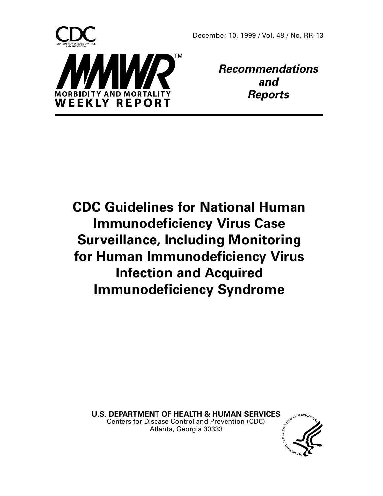

**Recommendations and Reports**

**CDC Guidelines for National Human Immunodeficiency Virus Case Surveillance, Including Monitoring for Human Immunodeficiency Virus Infection and Acquired Immunodeficiency Syndrome**

**U.S. DEPARTMENT OF HEALTH & HUMAN SERVICES**<br>Centers for Disease Control and Prevention (CDC)<br>Atlanta, Georgia 2006 Centers for Disease Control and Prevention (CDC) Atlanta, Georgia 30333

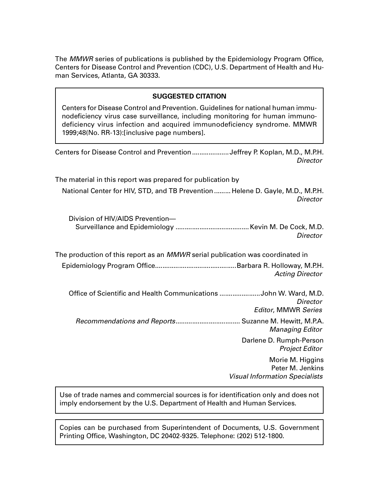The *MMWR* series of publications is published by the Epidemiology Program Office, Centers for Disease Control and Prevention (CDC), U.S. Department of Health and Human Services, Atlanta, GA 30333.

## **SUGGESTED CITATION**

Centers for Disease Control and Prevention. Guidelines for national human immunodeficiency virus case surveillance, including monitoring for human immunodeficiency virus infection and acquired immunodeficiency syndrome. MMWR 1999;48(No. RR-13):[inclusive page numbers].

Centers for Disease Control and Prevention....................Jeffrey P. Koplan, M.D., M.P.H. **Director** 

The material in this report was prepared for publication by National Center for HIV, STD, and TB Prevention......... Helene D. Gayle, M.D., M.P.H. **Director** 

| Division of HIV/AIDS Prevention- |          |
|----------------------------------|----------|
|                                  |          |
|                                  | Director |

The production of this report as an MMWR serial publication was coordinated in Epidemiology Program Office............................................Barbara R. Holloway, M.P.H. Acting Director

 Office of Scientific and Health Communications ......................John W. Ward, M.D. **Director** Editor, MMWR Series Recommendations and Reports................................... Suzanne M. Hewitt, M.P.A.

> Managing Editor Darlene D. Rumph-Person Project Editor

> > Morie M. Higgins Peter M. Jenkins Visual Information Specialists

Use of trade names and commercial sources is for identification only and does not imply endorsement by the U.S. Department of Health and Human Services.

Copies can be purchased from Superintendent of Documents, U.S. Government Printing Office, Washington, DC 20402-9325. Telephone: (202) 512-1800.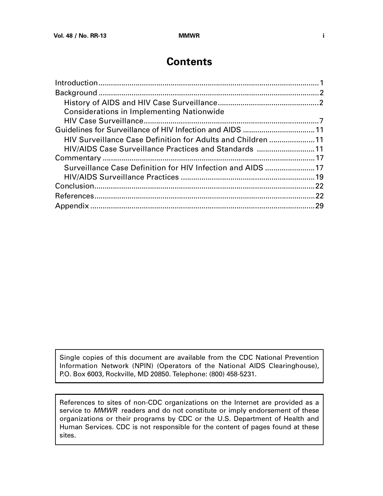# **Contents**

| <b>Considerations in Implementing Nationwide</b>            |  |
|-------------------------------------------------------------|--|
|                                                             |  |
|                                                             |  |
| HIV Surveillance Case Definition for Adults and Children 11 |  |
| HIV/AIDS Case Surveillance Practices and Standards 11       |  |
|                                                             |  |
| Surveillance Case Definition for HIV Infection and AIDS 17  |  |
|                                                             |  |
|                                                             |  |
|                                                             |  |
|                                                             |  |
|                                                             |  |

Single copies of this document are available from the CDC National Prevention Information Network (NPIN) (Operators of the National AIDS Clearinghouse), P.O. Box 6003, Rockville, MD 20850. Telephone: (800) 458-5231.

References to sites of non-CDC organizations on the Internet are provided as a service to MMWR readers and do not constitute or imply endorsement of these organizations or their programs by CDC or the U.S. Department of Health and Human Services. CDC is not responsible for the content of pages found at these sites.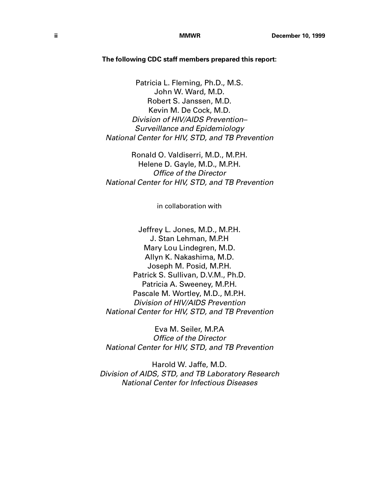### **The following CDC staff members prepared this report:**

Patricia L. Fleming, Ph.D., M.S. John W. Ward, M.D. Robert S. Janssen, M.D. Kevin M. De Cock, M.D. Division of HIV/AIDS Prevention– Surveillance and Epidemiology National Center for HIV, STD, and TB Prevention

Ronald O. Valdiserri, M.D., M.P.H. Helene D. Gayle, M.D., M.P.H. Office of the Director National Center for HIV, STD, and TB Prevention

in collaboration with

Jeffrey L. Jones, M.D., M.P.H. J. Stan Lehman, M.P.H Mary Lou Lindegren, M.D. Allyn K. Nakashima, M.D. Joseph M. Posid, M.P.H. Patrick S. Sullivan, D.V.M., Ph.D. Patricia A. Sweeney, M.P.H. Pascale M. Wortley, M.D., M.P.H. Division of HIV/AIDS Prevention National Center for HIV, STD, and TB Prevention

Eva M. Seiler, M.P.A Office of the Director National Center for HIV, STD, and TB Prevention

Harold W. Jaffe, M.D. Division of AIDS, STD, and TB Laboratory Research National Center for Infectious Diseases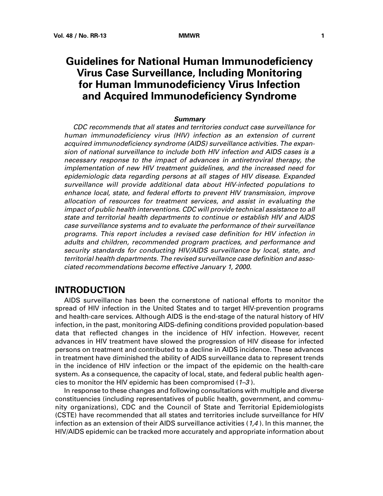# <span id="page-4-0"></span>**Guidelines for National Human Immunodeficiency Virus Case Surveillance, Including Monitoring for Human Immunodeficiency Virus Infection and Acquired Immunodeficiency Syndrome**

### **Summary**

CDC recommends that all states and territories conduct case surveillance for human immunodeficiency virus (HIV) infection as an extension of current acquired immunodeficiency syndrome (AIDS) surveillance activities. The expansion of national surveillance to include both HIV infection and AIDS cases is a necessary response to the impact of advances in antiretroviral therapy, the implementation of new HIV treatment guidelines, and the increased need for epidemiologic data regarding persons at all stages of HIV disease. Expanded surveillance will provide additional data about HIV-infected populations to enhance local, state, and federal efforts to prevent HIV transmission, improve allocation of resources for treatment services, and assist in evaluating the impact of public health interventions. CDC will provide technical assistance to all state and territorial health departments to continue or establish HIV and AIDS case surveillance systems and to evaluate the performance of their surveillance programs. This report includes a revised case definition for HIV infection in adults and children, recommended program practices, and performance and security standards for conducting HIV/AIDS surveillance by local, state, and territorial health departments. The revised surveillance case definition and associated recommendations become effective January 1, 2000.

# **INTRODUCTION**

AIDS surveillance has been the cornerstone of national efforts to monitor the spread of HIV infection in the United States and to target HIV-prevention programs and health-care services. Although AIDS is the end-stage of the natural history of HIV infection, in the past, monitoring AIDS-defining conditions provided population-based data that reflected changes in the incidence of HIV infection. However, recent advances in HIV treatment have slowed the progression of HIV disease for infected persons on treatment and contributed to a decline in AIDS incidence. These advances in treatment have diminished the ability of AIDS surveillance data to represent trends in the incidence of HIV infection or the impact of the epidemic on the health-care system. As a consequence, the capacity of local, state, and federal public health agencies to monitor the HIV epidemic has been compromised (1–3 ).

In response to these changes and following consultations with multiple and diverse constituencies (including representatives of public health, government, and community organizations), CDC and the Council of State and Territorial Epidemiologists (CSTE) have recommended that all states and territories include surveillance for HIV infection as an extension of their AIDS surveillance activities (1,4 ). In this manner, the HIV/AIDS epidemic can be tracked more accurately and appropriate information about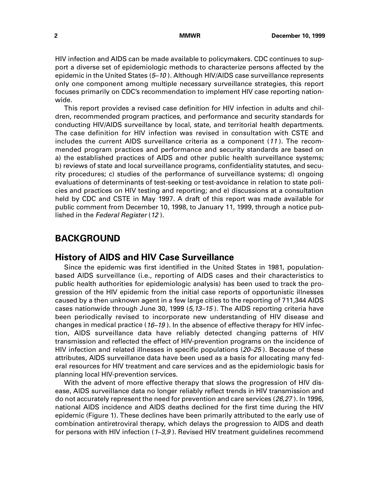<span id="page-5-0"></span>HIV infection and AIDS can be made available to policymakers. CDC continues to support a diverse set of epidemiologic methods to characterize persons affected by the epidemic in the United States (5–10). Although HIV/AIDS case surveillance represents only one component among multiple necessary surveillance strategies, this report focuses primarily on CDC's recommendation to implement HIV case reporting nationwide.

This report provides a revised case definition for HIV infection in adults and children, recommended program practices, and performance and security standards for conducting HIV/AIDS surveillance by local, state, and territorial health departments. The case definition for HIV infection was revised in consultation with CSTE and includes the current AIDS surveillance criteria as a component (11 ). The recommended program practices and performance and security standards are based on a) the established practices of AIDS and other public health surveillance systems; b) reviews of state and local surveillance programs, confidentiality statutes, and security procedures; c) studies of the performance of surveillance systems; d) ongoing evaluations of determinants of test-seeking or test-avoidance in relation to state policies and practices on HIV testing and reporting; and e) discussions at a consultation held by CDC and CSTE in May 1997. A draft of this report was made available for public comment from December 10, 1998, to January 11, 1999, through a notice published in the Federal Register (12).

# **BACKGROUND**

# **History of AIDS and HIV Case Surveillance**

Since the epidemic was first identified in the United States in 1981, populationbased AIDS surveillance (i.e., reporting of AIDS cases and their characteristics to public health authorities for epidemiologic analysis) has been used to track the progression of the HIV epidemic from the initial case reports of opportunistic illnesses caused by a then unknown agent in a few large cities to the reporting of 711,344 AIDS cases nationwide through June 30, 1999 (5,13–15 ). The AIDS reporting criteria have been periodically revised to incorporate new understanding of HIV disease and changes in medical practice ( $16-19$ ). In the absence of effective therapy for HIV infection, AIDS surveillance data have reliably detected changing patterns of HIV transmission and reflected the effect of HIV-prevention programs on the incidence of HIV infection and related illnesses in specific populations (20–25 ). Because of these attributes, AIDS surveillance data have been used as a basis for allocating many federal resources for HIV treatment and care services and as the epidemiologic basis for planning local HIV-prevention services.

With the advent of more effective therapy that slows the progression of HIV disease, AIDS surveillance data no longer reliably reflect trends in HIV transmission and do not accurately represent the need for prevention and care services (26,27 ). In 1996, national AIDS incidence and AIDS deaths declined for the first time during the HIV epidemic (Figure 1). These declines have been primarily attributed to the early use of combination antiretroviral therapy, which delays the progression to AIDS and death for persons with HIV infection  $(1-3,9)$ . Revised HIV treatment guidelines recommend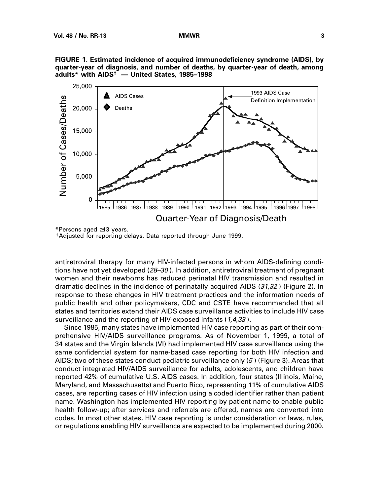



\*Persons aged ≥13 years.

†Adjusted for reporting delays. Data reported through June 1999.

antiretroviral therapy for many HIV-infected persons in whom AIDS-defining conditions have not yet developed  $(28-30)$ . In addition, antiretroviral treatment of pregnant women and their newborns has reduced perinatal HIV transmission and resulted in dramatic declines in the incidence of perinatally acquired AIDS (31,32 ) (Figure 2). In response to these changes in HIV treatment practices and the information needs of public health and other policymakers, CDC and CSTE have recommended that all states and territories extend their AIDS case surveillance activities to include HIV case surveillance and the reporting of HIV-exposed infants (1,4,33).

Since 1985, many states have implemented HIV case reporting as part of their comprehensive HIV/AIDS surveillance programs. As of November 1, 1999, a total of 34 states and the Virgin Islands (VI) had implemented HIV case surveillance using the same confidential system for name-based case reporting for both HIV infection and AIDS; two of these states conduct pediatric surveillance only (5 ) (Figure 3). Areas that conduct integrated HIV/AIDS surveillance for adults, adolescents, and children have reported 42% of cumulative U.S. AIDS cases. In addition, four states (Illinois, Maine, Maryland, and Massachusetts) and Puerto Rico, representing 11% of cumulative AIDS cases, are reporting cases of HIV infection using a coded identifier rather than patient name. Washington has implemented HIV reporting by patient name to enable public health follow-up; after services and referrals are offered, names are converted into codes. In most other states, HIV case reporting is under consideration or laws, rules, or regulations enabling HIV surveillance are expected to be implemented during 2000.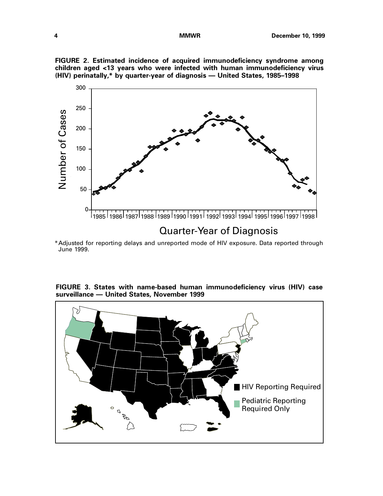**FIGURE 2. Estimated incidence of acquired immunodeficiency syndrome among children aged <13 years who were infected with human immunodeficiency virus (HIV) perinatally,\* by quarter-year of diagnosis — United States, 1985–1998**



# Quarter-Year of Diagnosis

\*Adjusted for reporting delays and unreported mode of HIV exposure. Data reported through June 1999.

**FIGURE 3. States with name-based human immunodeficiency virus (HIV) case surveillance — United States, November 1999** 

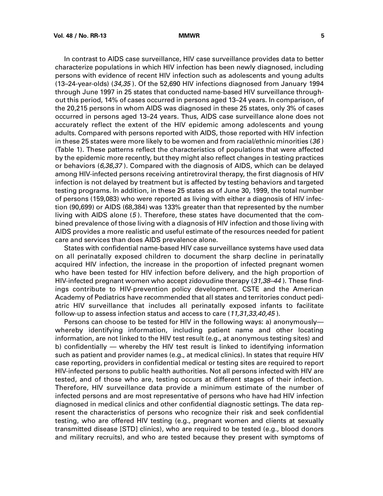In contrast to AIDS case surveillance, HIV case surveillance provides data to better characterize populations in which HIV infection has been newly diagnosed, including persons with evidence of recent HIV infection such as adolescents and young adults (13–24-year-olds) (34,35 ). Of the 52,690 HIV infections diagnosed from January 1994 through June 1997 in 25 states that conducted name-based HIV surveillance throughout this period, 14% of cases occurred in persons aged 13–24 years. In comparison, of the 20,215 persons in whom AIDS was diagnosed in these 25 states, only 3% of cases occurred in persons aged 13–24 years. Thus, AIDS case surveillance alone does not accurately reflect the extent of the HIV epidemic among adolescents and young adults. Compared with persons reported with AIDS, those reported with HIV infection in these 25 states were more likely to be women and from racial/ethnic minorities (36) (Table 1). These patterns reflect the characteristics of populations that were affected by the epidemic more recently, but they might also reflect changes in testing practices or behaviors (6,36,37). Compared with the diagnosis of AIDS, which can be delayed among HIV-infected persons receiving antiretroviral therapy, the first diagnosis of HIV infection is not delayed by treatment but is affected by testing behaviors and targeted testing programs. In addition, in these 25 states as of June 30, 1999, the total number of persons (159,083) who were reported as living with either a diagnosis of HIV infection (90,699) or AIDS (68,384) was 133% greater than that represented by the number living with AIDS alone (5 ). Therefore, these states have documented that the combined prevalence of those living with a diagnosis of HIV infection and those living with AIDS provides a more realistic and useful estimate of the resources needed for patient care and services than does AIDS prevalence alone.

States with confidential name-based HIV case surveillance systems have used data on all perinatally exposed children to document the sharp decline in perinatally acquired HIV infection, the increase in the proportion of infected pregnant women who have been tested for HIV infection before delivery, and the high proportion of HIV-infected pregnant women who accept zidovudine therapy  $(31,38-44)$ . These findings contribute to HIV-prevention policy development. CSTE and the American Academy of Pediatrics have recommended that all states and territories conduct pediatric HIV surveillance that includes all perinatally exposed infants to facilitate follow-up to assess infection status and access to care (11,31,33,40,45).

Persons can choose to be tested for HIV in the following ways: a) anonymously whereby identifying information, including patient name and other locating information, are not linked to the HIV test result (e.g., at anonymous testing sites) and b) confidentially — whereby the HIV test result is linked to identifying information such as patient and provider names (e.g., at medical clinics). In states that require HIV case reporting, providers in confidential medical or testing sites are required to report HIV-infected persons to public health authorities. Not all persons infected with HIV are tested, and of those who are, testing occurs at different stages of their infection. Therefore, HIV surveillance data provide a minimum estimate of the number of infected persons and are most representative of persons who have had HIV infection diagnosed in medical clinics and other confidential diagnostic settings. The data represent the characteristics of persons who recognize their risk and seek confidential testing, who are offered HIV testing (e.g., pregnant women and clients at sexually transmitted disease [STD] clinics), who are required to be tested (e.g., blood donors and military recruits), and who are tested because they present with symptoms of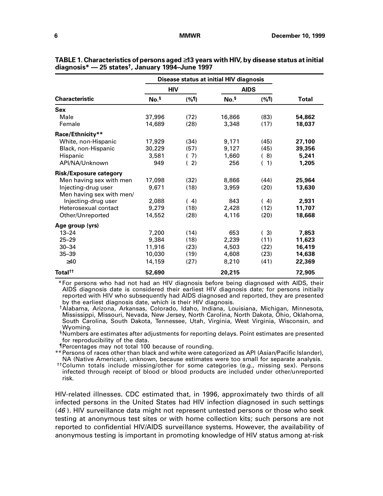| <b>Characteristic</b>         | Disease status at initial HIV diagnosis |         |                  |            |        |
|-------------------------------|-----------------------------------------|---------|------------------|------------|--------|
|                               | <b>HIV</b>                              |         | <b>AIDS</b>      |            |        |
|                               | No. <sup>§</sup>                        | $($ %¶) | No. <sup>§</sup> | $($ % $\P$ | Total  |
| <b>Sex</b>                    |                                         |         |                  |            |        |
| Male                          | 37,996                                  | (72)    | 16,866           | (83)       | 54,862 |
| Female                        | 14,689                                  | (28)    | 3,348            | (17)       | 18,037 |
| Race/Ethnicity**              |                                         |         |                  |            |        |
| White, non-Hispanic           | 17,929                                  | (34)    | 9,171            | (45)       | 27,100 |
| Black, non-Hispanic           | 30,229                                  | (57)    | 9,127            | (45)       | 39,356 |
| Hispanic                      | 3.581                                   | (7)     | 1.660            | (8)        | 5,241  |
| API/NA/Unknown                | 949                                     | (2)     | 256              | 1)         | 1,205  |
| <b>Risk/Exposure category</b> |                                         |         |                  |            |        |
| Men having sex with men       | 17,098                                  | (32)    | 8,866            | (44)       | 25,964 |
| Injecting-drug user           | 9,671                                   | (18)    | 3,959            | (20)       | 13,630 |
| Men having sex with men/      |                                         |         |                  |            |        |
| Injecting-drug user           | 2,088                                   | (4)     | 843              | (4)        | 2,931  |
| Heterosexual contact          | 9,279                                   | (18)    | 2,428            | (12)       | 11,707 |
| Other/Unreported              | 14,552                                  | (28)    | 4,116            | (20)       | 18,668 |
| Age group (yrs)               |                                         |         |                  |            |        |
| $13 - 24$                     | 7,200                                   | (14)    | 653              | (3)        | 7,853  |
| $25 - 29$                     | 9,384                                   | (18)    | 2,239            | (11)       | 11,623 |
| $30 - 34$                     | 11,916                                  | (23)    | 4,503            | (22)       | 16,419 |
| $35 - 39$                     | 10.030                                  | (19)    | 4,608            | (23)       | 14,638 |
| $\geq 40$                     | 14,159                                  | (27)    | 8,210            | (41)       | 22,369 |
| Total <sup>tt</sup>           | 52,690                                  |         | 20,215           |            | 72,905 |

**TABLE 1. Characteristics of persons aged** ≥**13 years with HIV, by disease status at initial diagnosis\* — 25 states†, January 1994–June 1997**

 \*For persons who had not had an HIV diagnosis before being diagnosed with AIDS, their AIDS diagnosis date is considered their earliest HIV diagnosis date; for persons initially reported with HIV who subsequently had AIDS diagnosed and reported, they are presented by the earliest diagnosis date, which is their HIV diagnosis.

†Alabama, Arizona, Arkansas, Colorado, Idaho, Indiana, Louisiana, Michigan, Minnesota, Mississippi, Missouri, Nevada, New Jersey, North Carolina, North Dakota, Ohio, Oklahoma, South Carolina, South Dakota, Tennessee, Utah, Virginia, West Virginia, Wisconsin, and Wyoming.

§Numbers are estimates after adjustments for reporting delays. Point estimates are presented for reproducibility of the data.

¶Percentages may not total 100 because of rounding.

\*\*Persons of races other than black and white were categorized as API (Asian/Pacific Islander), NA (Native American), unknown, because estimates were too small for separate analysis.

††Column totals include missing/other for some categories (e.g., missing sex). Persons infected through receipt of blood or blood products are included under other/unreported risk.

HIV-related illnesses. CDC estimated that, in 1996, approximately two thirds of all infected persons in the United States had HIV infection diagnosed in such settings (46 ). HIV surveillance data might not represent untested persons or those who seek testing at anonymous test sites or with home collection kits; such persons are not reported to confidential HIV/AIDS surveillance systems. However, the availability of anonymous testing is important in promoting knowledge of HIV status among at-risk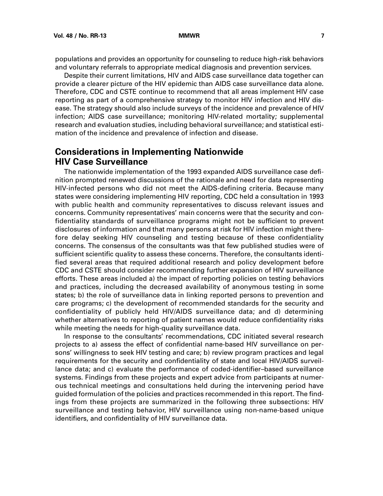<span id="page-10-0"></span>populations and provides an opportunity for counseling to reduce high-risk behaviors and voluntary referrals to appropriate medical diagnosis and prevention services.

Despite their current limitations, HIV and AIDS case surveillance data together can provide a clearer picture of the HIV epidemic than AIDS case surveillance data alone. Therefore, CDC and CSTE continue to recommend that all areas implement HIV case reporting as part of a comprehensive strategy to monitor HIV infection and HIV disease. The strategy should also include surveys of the incidence and prevalence of HIV infection; AIDS case surveillance; monitoring HIV-related mortality; supplemental research and evaluation studies, including behavioral surveillance; and statistical estimation of the incidence and prevalence of infection and disease.

# **Considerations in Implementing Nationwide HIV Case Surveillance**

The nationwide implementation of the 1993 expanded AIDS surveillance case definition prompted renewed discussions of the rationale and need for data representing HIV-infected persons who did not meet the AIDS-defining criteria. Because many states were considering implementing HIV reporting, CDC held a consultation in 1993 with public health and community representatives to discuss relevant issues and concerns. Community representatives' main concerns were that the security and confidentiality standards of surveillance programs might not be sufficient to prevent disclosures of information and that many persons at risk for HIV infection might therefore delay seeking HIV counseling and testing because of these confidentiality concerns. The consensus of the consultants was that few published studies were of sufficient scientific quality to assess these concerns. Therefore, the consultants identified several areas that required additional research and policy development before CDC and CSTE should consider recommending further expansion of HIV surveillance efforts. These areas included a) the impact of reporting policies on testing behaviors and practices, including the decreased availability of anonymous testing in some states; b) the role of surveillance data in linking reported persons to prevention and care programs; c) the development of recommended standards for the security and confidentiality of publicly held HIV/AIDS surveillance data; and d) determining whether alternatives to reporting of patient names would reduce confidentiality risks while meeting the needs for high-quality surveillance data.

In response to the consultants' recommendations, CDC initiated several research projects to a) assess the effect of confidential name-based HIV surveillance on persons' willingness to seek HIV testing and care; b) review program practices and legal requirements for the security and confidentiality of state and local HIV/AIDS surveillance data; and c) evaluate the performance of coded-identifier–based surveillance systems. Findings from these projects and expert advice from participants at numerous technical meetings and consultations held during the intervening period have guided formulation of the policies and practices recommended in this report. The findings from these projects are summarized in the following three subsections: HIV surveillance and testing behavior, HIV surveillance using non-name-based unique identifiers, and confidentiality of HIV surveillance data.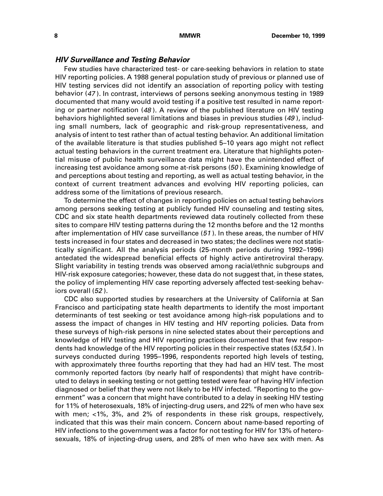### **HIV Surveillance and Testing Behavior**

Few studies have characterized test- or care-seeking behaviors in relation to state HIV reporting policies. A 1988 general population study of previous or planned use of HIV testing services did not identify an association of reporting policy with testing behavior (47 ). In contrast, interviews of persons seeking anonymous testing in 1989 documented that many would avoid testing if a positive test resulted in name reporting or partner notification (48). A review of the published literature on HIV testing behaviors highlighted several limitations and biases in previous studies (49 ), including small numbers, lack of geographic and risk-group representativeness, and analysis of intent to test rather than of actual testing behavior. An additional limitation of the available literature is that studies published 5–10 years ago might not reflect actual testing behaviors in the current treatment era. Literature that highlights potential misuse of public health surveillance data might have the unintended effect of increasing test avoidance among some at-risk persons (50 ). Examining knowledge of and perceptions about testing and reporting, as well as actual testing behavior, in the context of current treatment advances and evolving HIV reporting policies, can address some of the limitations of previous research.

To determine the effect of changes in reporting policies on actual testing behaviors among persons seeking testing at publicly funded HIV counseling and testing sites, CDC and six state health departments reviewed data routinely collected from these sites to compare HIV testing patterns during the 12 months before and the 12 months after implementation of HIV case surveillance (51 ). In these areas, the number of HIV tests increased in four states and decreased in two states; the declines were not statistically significant. All the analysis periods (25-month periods during 1992–1996) antedated the widespread beneficial effects of highly active antiretroviral therapy. Slight variability in testing trends was observed among racial/ethnic subgroups and HIV-risk exposure categories; however, these data do not suggest that, in these states, the policy of implementing HIV case reporting adversely affected test-seeking behaviors overall (52 ).

CDC also supported studies by researchers at the University of California at San Francisco and participating state health departments to identify the most important determinants of test seeking or test avoidance among high-risk populations and to assess the impact of changes in HIV testing and HIV reporting policies. Data from these surveys of high-risk persons in nine selected states about their perceptions and knowledge of HIV testing and HIV reporting practices documented that few respondents had knowledge of the HIV reporting policies in their respective states (53,54 ). In surveys conducted during 1995–1996, respondents reported high levels of testing, with approximately three fourths reporting that they had had an HIV test. The most commonly reported factors (by nearly half of respondents) that might have contributed to delays in seeking testing or not getting tested were fear of having HIV infection diagnosed or belief that they were not likely to be HIV infected. "Reporting to the government" was a concern that might have contributed to a delay in seeking HIV testing for 11% of heterosexuals, 18% of injecting-drug users, and 22% of men who have sex with men; <1%, 3%, and 2% of respondents in these risk groups, respectively, indicated that this was their main concern. Concern about name-based reporting of HIV infections to the government was a factor for not testing for HIV for 13% of heterosexuals, 18% of injecting-drug users, and 28% of men who have sex with men. As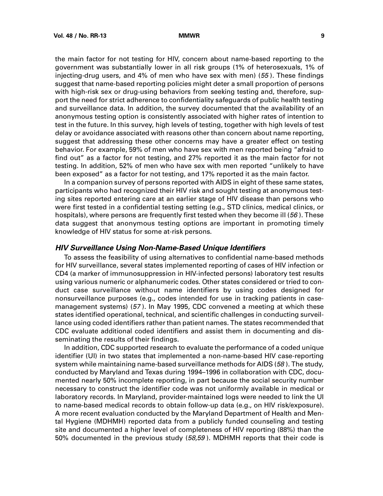the main factor for not testing for HIV, concern about name-based reporting to the government was substantially lower in all risk groups (1% of heterosexuals, 1% of injecting-drug users, and 4% of men who have sex with men) (55 ). These findings suggest that name-based reporting policies might deter a small proportion of persons with high-risk sex or drug-using behaviors from seeking testing and, therefore, support the need for strict adherence to confidentiality safeguards of public health testing and surveillance data. In addition, the survey documented that the availability of an anonymous testing option is consistently associated with higher rates of intention to test in the future. In this survey, high levels of testing, together with high levels of test delay or avoidance associated with reasons other than concern about name reporting, suggest that addressing these other concerns may have a greater effect on testing behavior. For example, 59% of men who have sex with men reported being "afraid to find out" as a factor for not testing, and 27% reported it as the main factor for not testing. In addition, 52% of men who have sex with men reported "unlikely to have been exposed" as a factor for not testing, and 17% reported it as the main factor.

In a companion survey of persons reported with AIDS in eight of these same states, participants who had recognized their HIV risk and sought testing at anonymous testing sites reported entering care at an earlier stage of HIV disease than persons who were first tested in a confidential testing setting (e.g., STD clinics, medical clinics, or hospitals), where persons are frequently first tested when they become ill  $(56)$ . These data suggest that anonymous testing options are important in promoting timely knowledge of HIV status for some at-risk persons.

### **HIV Surveillance Using Non-Name-Based Unique Identifiers**

To assess the feasibility of using alternatives to confidential name-based methods for HIV surveillance, several states implemented reporting of cases of HIV infection or CD4 (a marker of immunosuppression in HIV-infected persons) laboratory test results using various numeric or alphanumeric codes. Other states considered or tried to conduct case surveillance without name identifiers by using codes designed for nonsurveillance purposes (e.g., codes intended for use in tracking patients in casemanagement systems) (57 ). In May 1995, CDC convened a meeting at which these states identified operational, technical, and scientific challenges in conducting surveillance using coded identifiers rather than patient names. The states recommended that CDC evaluate additional coded identifiers and assist them in documenting and disseminating the results of their findings.

In addition, CDC supported research to evaluate the performance of a coded unique identifier (UI) in two states that implemented a non-name-based HIV case-reporting system while maintaining name-based surveillance methods for AIDS (58). The study, conducted by Maryland and Texas during 1994–1996 in collaboration with CDC, documented nearly 50% incomplete reporting, in part because the social security number necessary to construct the identifier code was not uniformly available in medical or laboratory records. In Maryland, provider-maintained logs were needed to link the UI to name-based medical records to obtain follow-up data (e.g., on HIV risk/exposure). A more recent evaluation conducted by the Maryland Department of Health and Mental Hygiene (MDHMH) reported data from a publicly funded counseling and testing site and documented a higher level of completeness of HIV reporting (88%) than the 50% documented in the previous study (58,59 ). MDHMH reports that their code is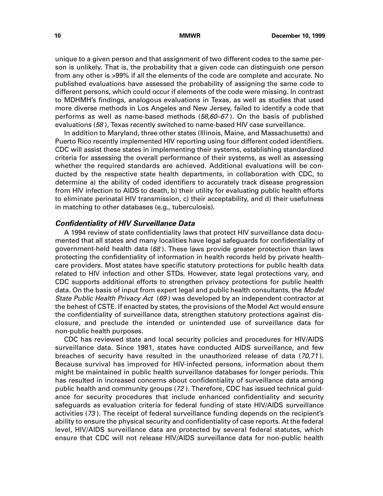unique to a given person and that assignment of two different codes to the same person is unlikely. That is, the probability that a given code can distinguish one person from any other is >99% if all the elements of the code are complete and accurate. No published evaluations have assessed the probability of assigning the same code to different persons, which could occur if elements of the code were missing. In contrast to MDHMH's findings, analogous evaluations in Texas, as well as studies that used more diverse methods in Los Angeles and New Jersey, failed to identify a code that performs as well as name-based methods  $(58,60-67)$ . On the basis of published evaluations (58 ), Texas recently switched to name-based HIV case surveillance.

In addition to Maryland, three other states (Illinois, Maine, and Massachusetts) and Puerto Rico recently implemented HIV reporting using four different coded identifiers. CDC will assist these states in implementing their systems, establishing standardized criteria for assessing the overall performance of their systems, as well as assessing whether the required standards are achieved. Additional evaluations will be conducted by the respective state health departments, in collaboration with CDC, to determine a) the ability of coded identifiers to accurately track disease progression from HIV infection to AIDS to death, b) their utility for evaluating public health efforts to eliminate perinatal HIV transmission, c) their acceptability, and d) their usefulness in matching to other databases (e.g., tuberculosis).

### **Confidentiality of HIV Surveillance Data**

A 1994 review of state confidentiality laws that protect HIV surveillance data documented that all states and many localities have legal safeguards for confidentiality of government-held health data  $(68)$ . These laws provide greater protection than laws protecting the confidentiality of information in health records held by private healthcare providers. Most states have specific statutory protections for public health data related to HIV infection and other STDs. However, state legal protections vary, and CDC supports additional efforts to strengthen privacy protections for public health data. On the basis of input from expert legal and public health consultants, the Model State Public Health Privacy Act (69 ) was developed by an independent contractor at the behest of CSTE. If enacted by states, the provisions of the Model Act would ensure the confidentiality of surveillance data, strengthen statutory protections against disclosure, and preclude the intended or unintended use of surveillance data for non-public health purposes.

CDC has reviewed state and local security policies and procedures for HIV/AIDS surveillance data. Since 1981, states have conducted AIDS surveillance, and few breaches of security have resulted in the unauthorized release of data (70,71 ). Because survival has improved for HIV-infected persons, information about them might be maintained in public health surveillance databases for longer periods. This has resulted in increased concerns about confidentiality of surveillance data among public health and community groups (72 ). Therefore, CDC has issued technical guidance for security procedures that include enhanced confidentiality and security safeguards as evaluation criteria for federal funding of state HIV/AIDS surveillance activities (73 ). The receipt of federal surveillance funding depends on the recipient's ability to ensure the physical security and confidentiality of case reports. At the federal level, HIV/AIDS surveillance data are protected by several federal statutes, which ensure that CDC will not release HIV/AIDS surveillance data for non-public health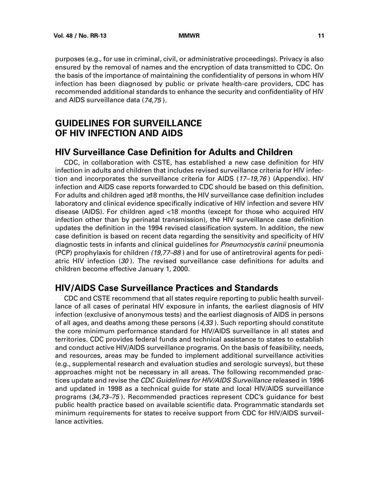<span id="page-14-0"></span>purposes (e.g., for use in criminal, civil, or administrative proceedings). Privacy is also ensured by the removal of names and the encryption of data transmitted to CDC. On the basis of the importance of maintaining the confidentiality of persons in whom HIV infection has been diagnosed by public or private health-care providers, CDC has recommended additional standards to enhance the security and confidentiality of HIV and AIDS surveillance data (74,75 ).

# **GUIDELINES FOR SURVEILLANCE OF HIV INFECTION AND AIDS**

# **HIV Surveillance Case Definition for Adults and Children**

CDC, in collaboration with CSTE, has established a new case definition for HIV infection in adults and children that includes revised surveillance criteria for HIV infection and incorporates the surveillance criteria for AIDS  $(17-19,76)$  (Appendix). HIV infection and AIDS case reports forwarded to CDC should be based on this definition. For adults and children aged ≥18 months, the HIV surveillance case definition includes laboratory and clinical evidence specifically indicative of HIV infection and severe HIV disease (AIDS). For children aged <18 months (except for those who acquired HIV infection other than by perinatal transmission), the HIV surveillance case definition updates the definition in the 1994 revised classification system. In addition, the new case definition is based on recent data regarding the sensitivity and specificity of HIV diagnostic tests in infants and clinical guidelines for Pneumocystis carinii pneumonia (PCP) prophylaxis for children (19,77–88 ) and for use of antiretroviral agents for pediatric HIV infection (30 ). The revised surveillance case definitions for adults and children become effective January 1, 2000.

# **HIV/AIDS Case Surveillance Practices and Standards**

CDC and CSTE recommend that all states require reporting to public health surveillance of all cases of perinatal HIV exposure in infants, the earliest diagnosis of HIV infection (exclusive of anonymous tests) and the earliest diagnosis of AIDS in persons of all ages, and deaths among these persons  $(4,33)$ . Such reporting should constitute the core minimum performance standard for HIV/AIDS surveillance in all states and territories. CDC provides federal funds and technical assistance to states to establish and conduct active HIV/AIDS surveillance programs. On the basis of feasibility, needs, and resources, areas may be funded to implement additional surveillance activities (e.g., supplemental research and evaluation studies and serologic surveys), but these approaches might not be necessary in all areas. The following recommended practices update and revise the CDC Guidelines for HIV/AIDS Surveillance released in 1996 and updated in 1998 as a technical guide for state and local HIV/AIDS surveillance programs (34,73–75 ). Recommended practices represent CDC's guidance for best public health practice based on available scientific data. Programmatic standards set minimum requirements for states to receive support from CDC for HIV/AIDS surveillance activities.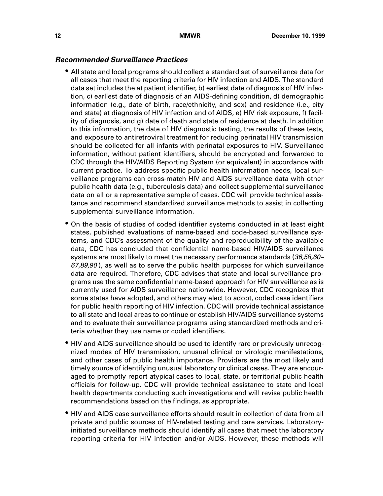### **Recommended Surveillance Practices**

- All state and local programs should collect a standard set of surveillance data for all cases that meet the reporting criteria for HIV infection and AIDS. The standard data set includes the a) patient identifier, b) earliest date of diagnosis of HIV infection, c) earliest date of diagnosis of an AIDS-defining condition, d) demographic information (e.g., date of birth, race/ethnicity, and sex) and residence (i.e., city and state) at diagnosis of HIV infection and of AIDS, e) HIV risk exposure, f) facility of diagnosis, and g) date of death and state of residence at death. In addition to this information, the date of HIV diagnostic testing, the results of these tests, and exposure to antiretroviral treatment for reducing perinatal HIV transmission should be collected for all infants with perinatal exposures to HIV. Surveillance information, without patient identifiers, should be encrypted and forwarded to CDC through the HIV/AIDS Reporting System (or equivalent) in accordance with current practice. To address specific public health information needs, local surveillance programs can cross-match HIV and AIDS surveillance data with other public health data (e.g., tuberculosis data) and collect supplemental surveillance data on all or a representative sample of cases. CDC will provide technical assistance and recommend standardized surveillance methods to assist in collecting supplemental surveillance information.
- On the basis of studies of coded identifier systems conducted in at least eight states, published evaluations of name-based and code-based surveillance systems, and CDC's assessment of the quality and reproducibility of the available data, CDC has concluded that confidential name-based HIV/AIDS surveillance systems are most likely to meet the necessary performance standards (36,58,60-67,89,90), as well as to serve the public health purposes for which surveillance data are required. Therefore, CDC advises that state and local surveillance programs use the same confidential name-based approach for HIV surveillance as is currently used for AIDS surveillance nationwide. However, CDC recognizes that some states have adopted, and others may elect to adopt, coded case identifiers for public health reporting of HIV infection. CDC will provide technical assistance to all state and local areas to continue or establish HIV/AIDS surveillance systems and to evaluate their surveillance programs using standardized methods and criteria whether they use name or coded identifiers.
- HIV and AIDS surveillance should be used to identify rare or previously unrecognized modes of HIV transmission, unusual clinical or virologic manifestations, and other cases of public health importance. Providers are the most likely and timely source of identifying unusual laboratory or clinical cases. They are encouraged to promptly report atypical cases to local, state, or territorial public health officials for follow-up. CDC will provide technical assistance to state and local health departments conducting such investigations and will revise public health recommendations based on the findings, as appropriate.
- HIV and AIDS case surveillance efforts should result in collection of data from all private and public sources of HIV-related testing and care services. Laboratoryinitiated surveillance methods should identify all cases that meet the laboratory reporting criteria for HIV infection and/or AIDS. However, these methods will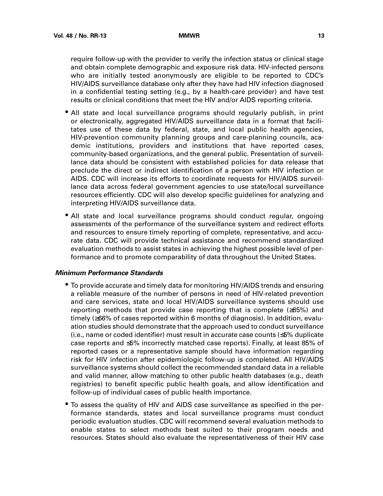require follow-up with the provider to verify the infection status or clinical stage and obtain complete demographic and exposure risk data. HIV-infected persons who are initially tested anonymously are eligible to be reported to CDC's HIV/AIDS surveillance database only after they have had HIV infection diagnosed in a confidential testing setting (e.g., by a health-care provider) and have test results or clinical conditions that meet the HIV and/or AIDS reporting criteria.

- All state and local surveillance programs should regularly publish, in print or electronically, aggregated HIV/AIDS surveillance data in a format that facilitates use of these data by federal, state, and local public health agencies, HIV-prevention community planning groups and care-planning councils, academic institutions, providers and institutions that have reported cases, community-based organizations, and the general public. Presentation of surveillance data should be consistent with established policies for data release that preclude the direct or indirect identification of a person with HIV infection or AIDS. CDC will increase its efforts to coordinate requests for HIV/AIDS surveillance data across federal government agencies to use state/local surveillance resources efficiently. CDC will also develop specific guidelines for analyzing and interpreting HIV/AIDS surveillance data.
- All state and local surveillance programs should conduct regular, ongoing assessments of the performance of the surveillance system and redirect efforts and resources to ensure timely reporting of complete, representative, and accurate data. CDC will provide technical assistance and recommend standardized evaluation methods to assist states in achieving the highest possible level of performance and to promote comparability of data throughout the United States.

### **Minimum Performance Standards**

- To provide accurate and timely data for monitoring HIV/AIDS trends and ensuring a reliable measure of the number of persons in need of HIV-related prevention and care services, state and local HIV/AIDS surveillance systems should use reporting methods that provide case reporting that is complete (≥85%) and timely (≥66% of cases reported within 6 months of diagnosis). In addition, evaluation studies should demonstrate that the approach used to conduct surveillance (i.e., name or coded identifier) must result in accurate case counts (≤5% duplicate case reports and ≤5% incorrectly matched case reports). Finally, at least 85% of reported cases or a representative sample should have information regarding risk for HIV infection after epidemiologic follow-up is completed. All HIV/AIDS surveillance systems should collect the recommended standard data in a reliable and valid manner, allow matching to other public health databases (e.g., death registries) to benefit specific public health goals, and allow identification and follow-up of individual cases of public health importance.
- To assess the quality of HIV and AIDS case surveillance as specified in the performance standards, states and local surveillance programs must conduct periodic evaluation studies. CDC will recommend several evaluation methods to enable states to select methods best suited to their program needs and resources. States should also evaluate the representativeness of their HIV case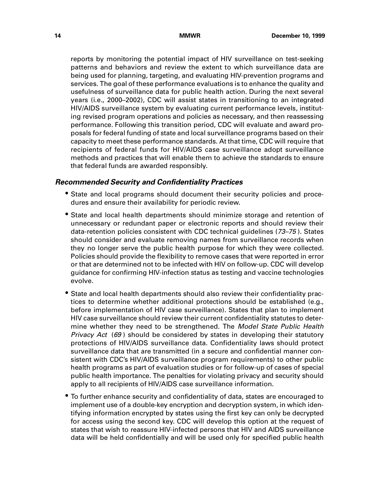reports by monitoring the potential impact of HIV surveillance on test-seeking patterns and behaviors and review the extent to which surveillance data are being used for planning, targeting, and evaluating HIV-prevention programs and services. The goal of these performance evaluations is to enhance the quality and usefulness of surveillance data for public health action. During the next several years (i.e., 2000–2002), CDC will assist states in transitioning to an integrated HIV/AIDS surveillance system by evaluating current performance levels, instituting revised program operations and policies as necessary, and then reassessing performance. Following this transition period, CDC will evaluate and award proposals for federal funding of state and local surveillance programs based on their capacity to meet these performance standards. At that time, CDC will require that recipients of federal funds for HIV/AIDS case surveillance adopt surveillance methods and practices that will enable them to achieve the standards to ensure that federal funds are awarded responsibly.

### **Recommended Security and Confidentiality Practices**

- State and local programs should document their security policies and procedures and ensure their availability for periodic review.
- State and local health departments should minimize storage and retention of unnecessary or redundant paper or electronic reports and should review their data-retention policies consistent with CDC technical guidelines (73–75 ). States should consider and evaluate removing names from surveillance records when they no longer serve the public health purpose for which they were collected. Policies should provide the flexibility to remove cases that were reported in error or that are determined not to be infected with HIV on follow-up. CDC will develop guidance for confirming HIV-infection status as testing and vaccine technologies evolve.
- State and local health departments should also review their confidentiality practices to determine whether additional protections should be established (e.g., before implementation of HIV case surveillance). States that plan to implement HIV case surveillance should review their current confidentiality statutes to determine whether they need to be strengthened. The Model State Public Health Privacy Act (69) should be considered by states in developing their statutory protections of HIV/AIDS surveillance data. Confidentiality laws should protect surveillance data that are transmitted (in a secure and confidential manner consistent with CDC's HIV/AIDS surveillance program requirements) to other public health programs as part of evaluation studies or for follow-up of cases of special public health importance. The penalties for violating privacy and security should apply to all recipients of HIV/AIDS case surveillance information.
- To further enhance security and confidentiality of data, states are encouraged to implement use of a double-key encryption and decryption system, in which identifying information encrypted by states using the first key can only be decrypted for access using the second key. CDC will develop this option at the request of states that wish to reassure HIV-infected persons that HIV and AIDS surveillance data will be held confidentially and will be used only for specified public health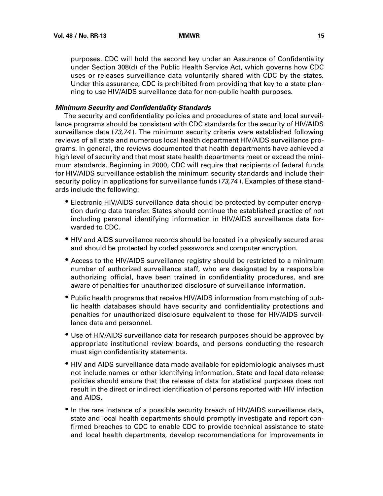purposes. CDC will hold the second key under an Assurance of Confidentiality under Section 308(d) of the Public Health Service Act, which governs how CDC uses or releases surveillance data voluntarily shared with CDC by the states. Under this assurance, CDC is prohibited from providing that key to a state planning to use HIV/AIDS surveillance data for non-public health purposes.

### **Minimum Security and Confidentiality Standards**

The security and confidentiality policies and procedures of state and local surveillance programs should be consistent with CDC standards for the security of HIV/AIDS surveillance data (73,74 ). The minimum security criteria were established following reviews of all state and numerous local health department HIV/AIDS surveillance programs. In general, the reviews documented that health departments have achieved a high level of security and that most state health departments meet or exceed the minimum standards. Beginning in 2000, CDC will require that recipients of federal funds for HIV/AIDS surveillance establish the minimum security standards and include their security policy in applications for surveillance funds (73,74 ). Examples of these standards include the following:

- Electronic HIV/AIDS surveillance data should be protected by computer encryption during data transfer. States should continue the established practice of not including personal identifying information in HIV/AIDS surveillance data forwarded to CDC.
- HIV and AIDS surveillance records should be located in a physically secured area and should be protected by coded passwords and computer encryption.
- Access to the HIV/AIDS surveillance registry should be restricted to a minimum number of authorized surveillance staff, who are designated by a responsible authorizing official, have been trained in confidentiality procedures, and are aware of penalties for unauthorized disclosure of surveillance information.
- Public health programs that receive HIV/AIDS information from matching of public health databases should have security and confidentiality protections and penalties for unauthorized disclosure equivalent to those for HIV/AIDS surveillance data and personnel.
- Use of HIV/AIDS surveillance data for research purposes should be approved by appropriate institutional review boards, and persons conducting the research must sign confidentiality statements.
- HIV and AIDS surveillance data made available for epidemiologic analyses must not include names or other identifying information. State and local data release policies should ensure that the release of data for statistical purposes does not result in the direct or indirect identification of persons reported with HIV infection and AIDS.
- In the rare instance of a possible security breach of HIV/AIDS surveillance data, state and local health departments should promptly investigate and report confirmed breaches to CDC to enable CDC to provide technical assistance to state and local health departments, develop recommendations for improvements in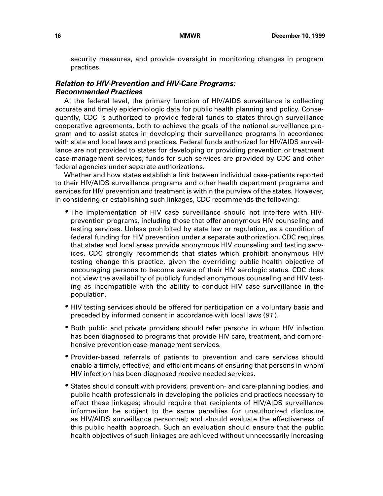security measures, and provide oversight in monitoring changes in program practices.

## **Relation to HIV-Prevention and HIV-Care Programs: Recommended Practices**

At the federal level, the primary function of HIV/AIDS surveillance is collecting accurate and timely epidemiologic data for public health planning and policy. Consequently, CDC is authorized to provide federal funds to states through surveillance cooperative agreements, both to achieve the goals of the national surveillance program and to assist states in developing their surveillance programs in accordance with state and local laws and practices. Federal funds authorized for HIV/AIDS surveillance are not provided to states for developing or providing prevention or treatment case-management services; funds for such services are provided by CDC and other federal agencies under separate authorizations.

Whether and how states establish a link between individual case-patients reported to their HIV/AIDS surveillance programs and other health department programs and services for HIV prevention and treatment is within the purview of the states. However, in considering or establishing such linkages, CDC recommends the following:

- The implementation of HIV case surveillance should not interfere with HIVprevention programs, including those that offer anonymous HIV counseling and testing services. Unless prohibited by state law or regulation, as a condition of federal funding for HIV prevention under a separate authorization, CDC requires that states and local areas provide anonymous HIV counseling and testing services. CDC strongly recommends that states which prohibit anonymous HIV testing change this practice, given the overriding public health objective of encouraging persons to become aware of their HIV serologic status. CDC does not view the availability of publicly funded anonymous counseling and HIV testing as incompatible with the ability to conduct HIV case surveillance in the population.
- HIV testing services should be offered for participation on a voluntary basis and preceded by informed consent in accordance with local laws (91 ).
- Both public and private providers should refer persons in whom HIV infection has been diagnosed to programs that provide HIV care, treatment, and comprehensive prevention case-management services.
- Provider-based referrals of patients to prevention and care services should enable a timely, effective, and efficient means of ensuring that persons in whom HIV infection has been diagnosed receive needed services.
- States should consult with providers, prevention- and care-planning bodies, and public health professionals in developing the policies and practices necessary to effect these linkages; should require that recipients of HIV/AIDS surveillance information be subject to the same penalties for unauthorized disclosure as HIV/AIDS surveillance personnel; and should evaluate the effectiveness of this public health approach. Such an evaluation should ensure that the public health objectives of such linkages are achieved without unnecessarily increasing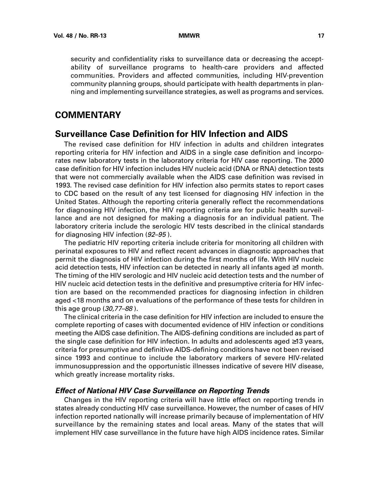<span id="page-20-0"></span>security and confidentiality risks to surveillance data or decreasing the acceptability of surveillance programs to health-care providers and affected communities. Providers and affected communities, including HIV-prevention community planning groups, should participate with health departments in planning and implementing surveillance strategies, as well as programs and services.

# **COMMENTARY**

# **Surveillance Case Definition for HIV Infection and AIDS**

The revised case definition for HIV infection in adults and children integrates reporting criteria for HIV infection and AIDS in a single case definition and incorporates new laboratory tests in the laboratory criteria for HIV case reporting. The 2000 case definition for HIV infection includes HIV nucleic acid (DNA or RNA) detection tests that were not commercially available when the AIDS case definition was revised in 1993. The revised case definition for HIV infection also permits states to report cases to CDC based on the result of any test licensed for diagnosing HIV infection in the United States. Although the reporting criteria generally reflect the recommendations for diagnosing HIV infection, the HIV reporting criteria are for public health surveillance and are not designed for making a diagnosis for an individual patient. The laboratory criteria include the serologic HIV tests described in the clinical standards for diagnosing HIV infection (92–95 ).

The pediatric HIV reporting criteria include criteria for monitoring all children with perinatal exposures to HIV and reflect recent advances in diagnostic approaches that permit the diagnosis of HIV infection during the first months of life. With HIV nucleic acid detection tests, HIV infection can be detected in nearly all infants aged ≥1 month. The timing of the HIV serologic and HIV nucleic acid detection tests and the number of HIV nucleic acid detection tests in the definitive and presumptive criteria for HIV infection are based on the recommended practices for diagnosing infection in children aged <18 months and on evaluations of the performance of these tests for children in this age group (30,77–88 ).

The clinical criteria in the case definition for HIV infection are included to ensure the complete reporting of cases with documented evidence of HIV infection or conditions meeting the AIDS case definition. The AIDS-defining conditions are included as part of the single case definition for HIV infection. In adults and adolescents aged ≥13 years, criteria for presumptive and definitive AIDS-defining conditions have not been revised since 1993 and continue to include the laboratory markers of severe HIV-related immunosuppression and the opportunistic illnesses indicative of severe HIV disease, which greatly increase mortality risks.

### **Effect of National HIV Case Surveillance on Reporting Trends**

Changes in the HIV reporting criteria will have little effect on reporting trends in states already conducting HIV case surveillance. However, the number of cases of HIV infection reported nationally will increase primarily because of implementation of HIV surveillance by the remaining states and local areas. Many of the states that will implement HIV case surveillance in the future have high AIDS incidence rates. Similar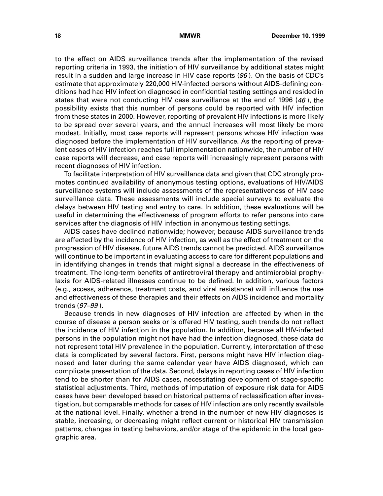to the effect on AIDS surveillance trends after the implementation of the revised reporting criteria in 1993, the initiation of HIV surveillance by additional states might result in a sudden and large increase in HIV case reports (96). On the basis of CDC's estimate that approximately 220,000 HIV-infected persons without AIDS-defining conditions had had HIV infection diagnosed in confidential testing settings and resided in states that were not conducting HIV case surveillance at the end of 1996 (46), the possibility exists that this number of persons could be reported with HIV infection from these states in 2000. However, reporting of prevalent HIV infections is more likely to be spread over several years, and the annual increases will most likely be more modest. Initially, most case reports will represent persons whose HIV infection was diagnosed before the implementation of HIV surveillance. As the reporting of prevalent cases of HIV infection reaches full implementation nationwide, the number of HIV case reports will decrease, and case reports will increasingly represent persons with recent diagnoses of HIV infection.

To facilitate interpretation of HIV surveillance data and given that CDC strongly promotes continued availability of anonymous testing options, evaluations of HIV/AIDS surveillance systems will include assessments of the representativeness of HIV case surveillance data. These assessments will include special surveys to evaluate the delays between HIV testing and entry to care. In addition, these evaluations will be useful in determining the effectiveness of program efforts to refer persons into care services after the diagnosis of HIV infection in anonymous testing settings.

AIDS cases have declined nationwide; however, because AIDS surveillance trends are affected by the incidence of HIV infection, as well as the effect of treatment on the progression of HIV disease, future AIDS trends cannot be predicted. AIDS surveillance will continue to be important in evaluating access to care for different populations and in identifying changes in trends that might signal a decrease in the effectiveness of treatment. The long-term benefits of antiretroviral therapy and antimicrobial prophylaxis for AIDS-related illnesses continue to be defined. In addition, various factors (e.g., access, adherence, treatment costs, and viral resistance) will influence the use and effectiveness of these therapies and their effects on AIDS incidence and mortality trends (97–99 ).

Because trends in new diagnoses of HIV infection are affected by when in the course of disease a person seeks or is offered HIV testing, such trends do not reflect the incidence of HIV infection in the population. In addition, because all HIV-infected persons in the population might not have had the infection diagnosed, these data do not represent total HIV prevalence in the population. Currently, interpretation of these data is complicated by several factors. First, persons might have HIV infection diagnosed and later during the same calendar year have AIDS diagnosed, which can complicate presentation of the data. Second, delays in reporting cases of HIV infection tend to be shorter than for AIDS cases, necessitating development of stage-specific statistical adjustments. Third, methods of imputation of exposure risk data for AIDS cases have been developed based on historical patterns of reclassification after investigation, but comparable methods for cases of HIV infection are only recently available at the national level. Finally, whether a trend in the number of new HIV diagnoses is stable, increasing, or decreasing might reflect current or historical HIV transmission patterns, changes in testing behaviors, and/or stage of the epidemic in the local geographic area.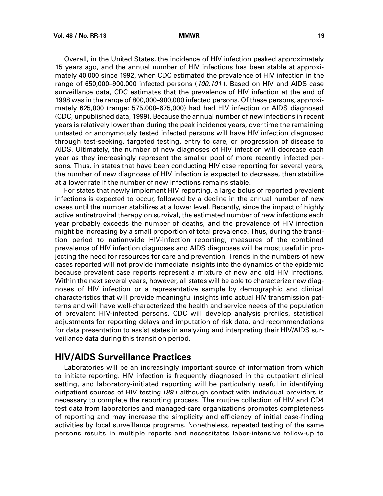<span id="page-22-0"></span>Overall, in the United States, the incidence of HIV infection peaked approximately 15 years ago, and the annual number of HIV infections has been stable at approximately 40,000 since 1992, when CDC estimated the prevalence of HIV infection in the range of 650,000–900,000 infected persons (100,101 ). Based on HIV and AIDS case surveillance data, CDC estimates that the prevalence of HIV infection at the end of 1998 was in the range of 800,000–900,000 infected persons. Of these persons, approximately 625,000 (range: 575,000–675,000) had had HIV infection or AIDS diagnosed (CDC, unpublished data, 1999). Because the annual number of new infections in recent years is relatively lower than during the peak incidence years, over time the remaining untested or anonymously tested infected persons will have HIV infection diagnosed through test-seeking, targeted testing, entry to care, or progression of disease to AIDS. Ultimately, the number of new diagnoses of HIV infection will decrease each year as they increasingly represent the smaller pool of more recently infected persons. Thus, in states that have been conducting HIV case reporting for several years, the number of new diagnoses of HIV infection is expected to decrease, then stabilize at a lower rate if the number of new infections remains stable.

For states that newly implement HIV reporting, a large bolus of reported prevalent infections is expected to occur, followed by a decline in the annual number of new cases until the number stabilizes at a lower level. Recently, since the impact of highly active antiretroviral therapy on survival, the estimated number of new infections each year probably exceeds the number of deaths, and the prevalence of HIV infection might be increasing by a small proportion of total prevalence. Thus, during the transition period to nationwide HIV-infection reporting, measures of the combined prevalence of HIV infection diagnoses and AIDS diagnoses will be most useful in projecting the need for resources for care and prevention. Trends in the numbers of new cases reported will not provide immediate insights into the dynamics of the epidemic because prevalent case reports represent a mixture of new and old HIV infections. Within the next several years, however, all states will be able to characterize new diagnoses of HIV infection or a representative sample by demographic and clinical characteristics that will provide meaningful insights into actual HIV transmission patterns and will have well-characterized the health and service needs of the population of prevalent HIV-infected persons. CDC will develop analysis profiles, statistical adjustments for reporting delays and imputation of risk data, and recommendations for data presentation to assist states in analyzing and interpreting their HIV/AIDS surveillance data during this transition period.

# **HIV/AIDS Surveillance Practices**

Laboratories will be an increasingly important source of information from which to initiate reporting. HIV infection is frequently diagnosed in the outpatient clinical setting, and laboratory-initiated reporting will be particularly useful in identifying outpatient sources of HIV testing (89 ) although contact with individual providers is necessary to complete the reporting process. The routine collection of HIV and CD4 test data from laboratories and managed-care organizations promotes completeness of reporting and may increase the simplicity and efficiency of initial case-finding activities by local surveillance programs. Nonetheless, repeated testing of the same persons results in multiple reports and necessitates labor-intensive follow-up to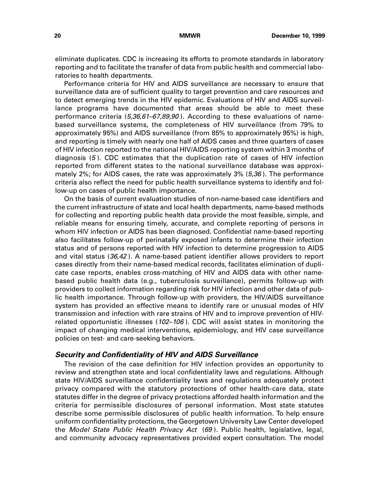eliminate duplicates. CDC is increasing its efforts to promote standards in laboratory reporting and to facilitate the transfer of data from public health and commercial laboratories to health departments.

Performance criteria for HIV and AIDS surveillance are necessary to ensure that surveillance data are of sufficient quality to target prevention and care resources and to detect emerging trends in the HIV epidemic. Evaluations of HIV and AIDS surveillance programs have documented that areas should be able to meet these performance criteria (5,36,61-67,89,90). According to these evaluations of namebased surveillance systems, the completeness of HIV surveillance (from 79% to approximately 95%) and AIDS surveillance (from 85% to approximately 95%) is high, and reporting is timely with nearly one half of AIDS cases and three quarters of cases of HIV infection reported to the national HIV/AIDS reporting system within 3 months of diagnosis (5 ). CDC estimates that the duplication rate of cases of HIV infection reported from different states to the national surveillance database was approximately 2%; for AIDS cases, the rate was approximately 3%  $(5,36)$ . The performance criteria also reflect the need for public health surveillance systems to identify and follow-up on cases of public health importance.

On the basis of current evaluation studies of non-name-based case identifiers and the current infrastructure of state and local health departments, name-based methods for collecting and reporting public health data provide the most feasible, simple, and reliable means for ensuring timely, accurate, and complete reporting of persons in whom HIV infection or AIDS has been diagnosed. Confidential name-based reporting also facilitates follow-up of perinatally exposed infants to determine their infection status and of persons reported with HIV infection to determine progression to AIDS and vital status (36,42 ). A name-based patient identifier allows providers to report cases directly from their name-based medical records, facilitates elimination of duplicate case reports, enables cross-matching of HIV and AIDS data with other namebased public health data (e.g., tuberculosis surveillance), permits follow-up with providers to collect information regarding risk for HIV infection and other data of public health importance. Through follow-up with providers, the HIV/AIDS surveillance system has provided an effective means to identify rare or unusual modes of HIV transmission and infection with rare strains of HIV and to improve prevention of HIVrelated opportunistic illnesses (102–106 ). CDC will assist states in monitoring the impact of changing medical interventions, epidemiology, and HIV case surveillance policies on test- and care-seeking behaviors.

### **Security and Confidentiality of HIV and AIDS Surveillance**

The revision of the case definition for HIV infection provides an opportunity to review and strengthen state and local confidentiality laws and regulations. Although state HIV/AIDS surveillance confidentiality laws and regulations adequately protect privacy compared with the statutory protections of other health-care data, state statutes differ in the degree of privacy protections afforded health information and the criteria for permissible disclosures of personal information. Most state statutes describe some permissible disclosures of public health information. To help ensure uniform confidentiality protections, the Georgetown University Law Center developed the Model State Public Health Privacy Act (69). Public health, legislative, legal, and community advocacy representatives provided expert consultation. The model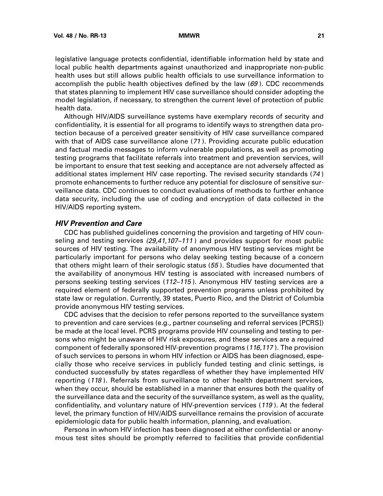legislative language protects confidential, identifiable information held by state and local public health departments against unauthorized and inappropriate non-public health uses but still allows public health officials to use surveillance information to accomplish the public health objectives defined by the law  $(69)$ . CDC recommends that states planning to implement HIV case surveillance should consider adopting the model legislation, if necessary, to strengthen the current level of protection of public health data.

Although HIV/AIDS surveillance systems have exemplary records of security and confidentiality, it is essential for all programs to identify ways to strengthen data protection because of a perceived greater sensitivity of HIV case surveillance compared with that of AIDS case surveillance alone (71 ). Providing accurate public education and factual media messages to inform vulnerable populations, as well as promoting testing programs that facilitate referrals into treatment and prevention services, will be important to ensure that test seeking and acceptance are not adversely affected as additional states implement HIV case reporting. The revised security standards (74 ) promote enhancements to further reduce any potential for disclosure of sensitive surveillance data. CDC continues to conduct evaluations of methods to further enhance data security, including the use of coding and encryption of data collected in the HIV/AIDS reporting system.

### **HIV Prevention and Care**

CDC has published guidelines concerning the provision and targeting of HIV counseling and testing services (29,41,107-111) and provides support for most public sources of HIV testing. The availability of anonymous HIV testing services might be particularly important for persons who delay seeking testing because of a concern that others might learn of their serologic status (55 ). Studies have documented that the availability of anonymous HIV testing is associated with increased numbers of persons seeking testing services (112–115 ). Anonymous HIV testing services are a required element of federally supported prevention programs unless prohibited by state law or regulation. Currently, 39 states, Puerto Rico, and the District of Columbia provide anonymous HIV testing services.

CDC advises that the decision to refer persons reported to the surveillance system to prevention and care services (e.g., partner counseling and referral services [PCRS]) be made at the local level. PCRS programs provide HIV counseling and testing to persons who might be unaware of HIV risk exposures, and these services are a required component of federally sponsored HIV-prevention programs (116,117 ). The provision of such services to persons in whom HIV infection or AIDS has been diagnosed, especially those who receive services in publicly funded testing and clinic settings, is conducted successfully by states regardless of whether they have implemented HIV reporting (118 ). Referrals from surveillance to other health department services, when they occur, should be established in a manner that ensures both the quality of the surveillance data and the security of the surveillance system, as well as the quality, confidentiality, and voluntary nature of HIV-prevention services (119 ). At the federal level, the primary function of HIV/AIDS surveillance remains the provision of accurate epidemiologic data for public health information, planning, and evaluation.

Persons in whom HIV infection has been diagnosed at either confidential or anonymous test sites should be promptly referred to facilities that provide confidential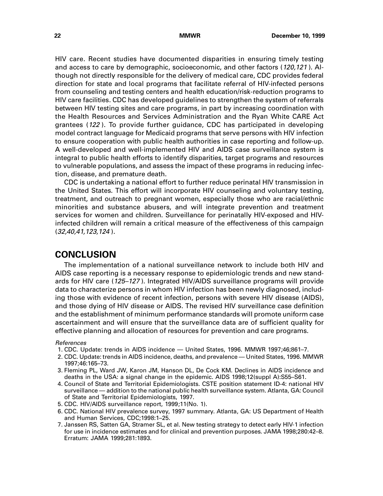<span id="page-25-0"></span>HIV care. Recent studies have documented disparities in ensuring timely testing and access to care by demographic, socioeconomic, and other factors (120,121 ). Although not directly responsible for the delivery of medical care, CDC provides federal direction for state and local programs that facilitate referral of HIV-infected persons from counseling and testing centers and health education/risk-reduction programs to HIV care facilities. CDC has developed guidelines to strengthen the system of referrals between HIV testing sites and care programs, in part by increasing coordination with the Health Resources and Services Administration and the Ryan White CARE Act grantees (122 ). To provide further guidance, CDC has participated in developing model contract language for Medicaid programs that serve persons with HIV infection to ensure cooperation with public health authorities in case reporting and follow-up. A well-developed and well-implemented HIV and AIDS case surveillance system is integral to public health efforts to identify disparities, target programs and resources to vulnerable populations, and assess the impact of these programs in reducing infection, disease, and premature death.

CDC is undertaking a national effort to further reduce perinatal HIV transmission in the United States. This effort will incorporate HIV counseling and voluntary testing, treatment, and outreach to pregnant women, especially those who are racial/ethnic minorities and substance abusers, and will integrate prevention and treatment services for women and children. Surveillance for perinatally HIV-exposed and HIVinfected children will remain a critical measure of the effectiveness of this campaign (32,40,41,123,124 ).

# **CONCLUSION**

The implementation of a national surveillance network to include both HIV and AIDS case reporting is a necessary response to epidemiologic trends and new standards for HIV care (125–127 ). Integrated HIV/AIDS surveillance programs will provide data to characterize persons in whom HIV infection has been newly diagnosed, including those with evidence of recent infection, persons with severe HIV disease (AIDS), and those dying of HIV disease or AIDS. The revised HIV surveillance case definition and the establishment of minimum performance standards will promote uniform case ascertainment and will ensure that the surveillance data are of sufficient quality for effective planning and allocation of resources for prevention and care programs.

### References

- 1. CDC. Update: trends in AIDS incidence United States, 1996. MMWR 1997;46;861–7.
- 2. CDC. Update: trends in AIDS incidence, deaths, and prevalence United States, 1996. MMWR 1997;46:165–73.
- 3. Fleming PL, Ward JW, Karon JM, Hanson DL, De Cock KM. Declines in AIDS incidence and deaths in the USA: a signal change in the epidemic. AIDS 1998;12(suppl A):S55–S61.
- 4. Council of State and Territorial Epidemiologists. CSTE position statement ID-4: national HIV surveillance — addition to the national public health surveillance system. Atlanta, GA: Council of State and Territorial Epidemiologists, 1997.
- 5. CDC. HIV/AIDS surveillance report, 1999;11(No. 1).
- 6. CDC. National HIV prevalence survey, 1997 summary. Atlanta, GA: US Department of Health and Human Services, CDC;1998:1–25.
- 7. Janssen RS, Satten GA, Stramer SL, et al. New testing strategy to detect early HIV-1 infection for use in incidence estimates and for clinical and prevention purposes. JAMA 1998;280:42–8. Erratum: JAMA 1999;281:1893.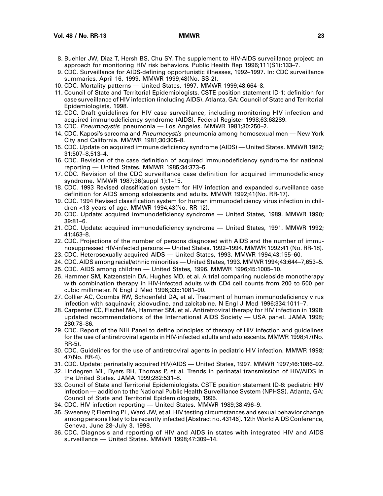- 8. Buehler JW, Diaz T, Hersh BS, Chu SY. The supplement to HIV-AIDS surveillance project: an approach for monitoring HIV risk behaviors. Public Health Rep 1996;111(S1):133–7.
- 9. CDC. Surveillance for AIDS-defining opportunistic illnesses, 1992–1997. In: CDC surveillance summaries, April 16, 1999. MMWR 1999;48(No. SS-2).
- 10. CDC. Mortality patterns United States, 1997. MMWR 1999;48:664–8.
- 11. Council of State and Territorial Epidemiologists. CSTE position statement ID-1: definition for case surveillance of HIV infection (including AIDS). Atlanta, GA: Council of State and Territorial Epidemiologists, 1998.
- 12. CDC. Draft guidelines for HIV case surveillance, including monitoring HIV infection and acquired immunodeficiency syndrome (AIDS). Federal Register 1998;63:68289.
- 13. CDC. Pneumocystis pneumonia Los Angeles. MMWR 1981;30:250–2.
- 14. CDC. Kaposi's sarcoma and Pneumocystis pneumonia among homosexual men New York City and California. MMWR 1981;30:305–8.
- 15. CDC. Update on acquired immune deficiency syndrome (AIDS) United States. MMWR 1982; 31:507–8,513–4.
- 16. CDC. Revision of the case definition of acquired immunodeficiency syndrome for national reporting — United States. MMWR 1985;34:373–5.
- 17. CDC. Revision of the CDC surveillance case definition for acquired immunodeficiency syndrome. MMWR 1987;36(suppl 1):1–15.
- 18. CDC. 1993 Revised classification system for HIV infection and expanded surveillance case definition for AIDS among adolescents and adults. MMWR 1992;41(No. RR-17).
- 19. CDC. 1994 Revised classification system for human immunodeficiency virus infection in children <13 years of age. MMWR 1994;43(No. RR-12).
- 20. CDC. Update: acquired immunodeficiency syndrome United States, 1989. MMWR 1990; 39:81–6.
- 21. CDC. Update: acquired immunodeficiency syndrome United States, 1991. MMWR 1992; 41:463–8.
- 22. CDC. Projections of the number of persons diagnosed with AIDS and the number of immunosuppressed HIV-infected persons — United States, 1992–1994. MMWR 1992;41 (No. RR-18).
- 23. CDC. Heterosexually acquired AIDS United States, 1993. MMWR 1994;43:155–60.
- 24. CDC. AIDS among racial/ethnic minorities United States, 1993. MMWR 1994;43:644–7,653–5.
- 25. CDC. AIDS among children United States, 1996. MMWR 1996;45:1005–10.
- 26. Hammer SM, Katzenstein DA, Hughes MD, et al. A trial comparing nucleoside monotherapy with combination therapy in HIV-infected adults with CD4 cell counts from 200 to 500 per cubic millimeter. N Engl J Med 1996;335:1081–90.
- 27. Collier AC, Coombs RW, Schoenfeld DA, et al. Treatment of human immunodeficiency virus infection with saquinavir, zidovudine, and zalcitabine. N Engl J Med 1996;334:1011–7.
- 28. Carpenter CC, Fischel MA, Hammer SM, et al. Antiretroviral therapy for HIV infection in 1998: updated recommendations of the International AIDS Society — USA panel. JAMA 1998; 280:78–86.
- 29. CDC. Report of the NIH Panel to define principles of therapy of HIV infection and guidelines for the use of antiretroviral agents in HIV-infected adults and adolescents. MMWR 1998;47(No. RR-5).
- 30. CDC. Guidelines for the use of antiretroviral agents in pediatric HIV infection. MMWR 1998; 47(No. RR-4).
- 31. CDC. Update: perinatally acquired HIV/AIDS United States, 1997. MMWR 1997;46:1086–92.
- 32. Lindegren ML, Byers RH, Thomas P, et al. Trends in perinatal transmission of HIV/AIDS in the United States. JAMA 1999;282:531–8.
- 33. Council of State and Territorial Epidemiologists. CSTE position statement ID-6: pediatric HIV infection — addition to the National Public Health Surveillance System (NPHSS). Atlanta, GA: Council of State and Territorial Epidemiologists, 1995.
- 34. CDC. HIV infection reporting United States. MMWR 1989;38:496–9.
- 35. Sweeney P, Fleming PL, Ward JW, et al. HIV testing circumstances and sexual behavior change among persons likely to be recently infected [Abstract no. 43146]. 12th World AIDS Conference, Geneva, June 28–July 3, 1998.
- 36. CDC. Diagnosis and reporting of HIV and AIDS in states with integrated HIV and AIDS surveillance — United States. MMWR 1998;47:309–14.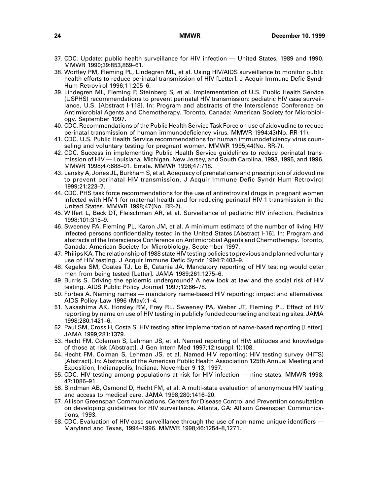- 37. CDC. Update: public health surveillance for HIV infection United States, 1989 and 1990. MMWR 1990;39:853,859–61.
- 38. Wortley PM, Fleming PL, Lindegren ML, et al. Using HIV/AIDS surveillance to monitor public health efforts to reduce perinatal transmission of HIV [Letter]. J Acquir Immune Defic Syndr Hum Retrovirol 1996;11:205–6.
- 39. Lindegren ML, Fleming P, Steinberg S, et al. Implementation of U.S. Public Health Service (USPHS) recommendations to prevent perinatal HIV transmission: pediatric HIV case surveillance, U.S. [Abstract I-118]. In: Program and abstracts of the Interscience Conference on Antimicrobial Agents and Chemotherapy. Toronto, Canada: American Society for Microbiology, September 1997.
- 40. CDC. Recommendations of the Public Health Service Task Force on use of zidovudine to reduce perinatal transmission of human immunodeficiency virus. MMWR 1994;43(No. RR-11).
- 41. CDC. U.S. Public Health Service recommendations for human immunodeficiency virus counseling and voluntary testing for pregnant women. MMWR 1995;44(No. RR-7).
- 42. CDC. Success in implementing Public Health Service guidelines to reduce perinatal transmission of HIV — Louisiana, Michigan, New Jersey, and South Carolina, 1993, 1995, and 1996. MMWR 1998;47:688–91. Errata. MMWR 1998;47:718.
- 43. Lansky A, Jones JL, Burkham S, et al. Adequacy of prenatal care and prescription of zidovudine to prevent perinatal HIV transmission. J Acquir Immune Defic Syndr Hum Retrovirol 1999;21:223–7.
- 44. CDC. PHS task force recommendations for the use of antiretroviral drugs in pregnant women infected with HIV-1 for maternal health and for reducing perinatal HIV-1 transmission in the United States. MMWR 1998;47(No. RR-2).
- 45. Wilfert L, Beck DT, Fleischman AR, et al. Surveillance of pediatric HIV infection. Pediatrics 1998;101:315–9.
- 46. Sweeney PA, Fleming PL, Karon JM, et al. A minimum estimate of the number of living HIV infected persons confidentiality tested in the United States [Abstract I-16]. In: Program and abstracts of the Interscience Conference on Antimicrobial Agents and Chemotherapy. Toronto, Canada: American Society for Microbiology, September 1997.
- 47. Philips KA. The relationship of 1988 state HIV testing policies to previous and planned voluntary use of HIV testing. J Acquir Immune Defic Syndr 1994:7:403–9.
- 48. Kegeles SM, Coates TJ, Lo B, Catania JA. Mandatory reporting of HIV testing would deter men from being tested [Letter]. JAMA 1989;261:1275–6.
- 49. Burris S. Driving the epidemic underground? A new look at law and the social risk of HIV testing. AIDS Public Policy Journal 1997;12:66–78.
- 50. Forbes A. Naming names mandatory name-based HIV reporting: impact and alternatives. AIDS Policy Law 1996 (May):1–4.
- 51. Nakashima AK, Horsley RM, Frey RL, Sweeney PA, Weber JT, Fleming PL. Effect of HIV reporting by name on use of HIV testing in publicly funded counseling and testing sites. JAMA 1998;280:1421–6.
- 52. Paul SM, Cross H, Costa S. HIV testing after implementation of name-based reporting [Letter]. JAMA 1999;281:1379.
- 53. Hecht FM, Coleman S, Lehman JS, et al. Named reporting of HIV: attitudes and knowledge of those at risk [Abstract]. J Gen Intern Med 1997;12:(suppl 1):108.
- 54. Hecht FM, Colman S, Lehman JS, et al. Named HIV reporting: HIV testing survey (HITS) [Abstract]. In: Abstracts of the American Public Health Association 125th Annual Meeting and Exposition, Indianapolis, Indiana, November 9-13, 1997.
- 55. CDC. HIV testing among populations at risk for HIV infection nine states. MMWR 1998: 47:1086–91.
- 56. Bindman AB, Osmond D, Hecht FM, et al. A multi-state evaluation of anonymous HIV testing and access to medical care. JAMA 1998;280:1416–20.
- 57. Allison Greenspan Communications. Centers for Disease Control and Prevention consultation on developing guidelines for HIV surveillance. Atlanta, GA: Allison Greenspan Communications, 1993.
- 58. CDC. Evaluation of HIV case surveillance through the use of non-name unique identifiers Maryland and Texas, 1994–1996. MMWR 1998;46:1254–8,1271.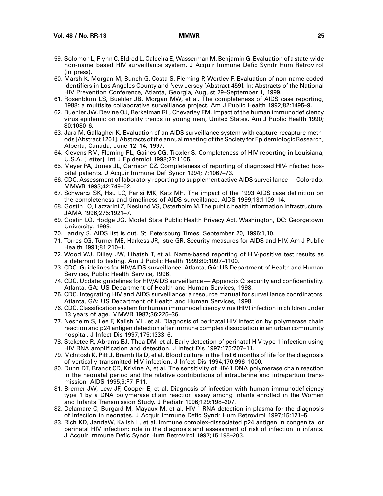- 59. Solomon L, Flynn C, Eldred L, Caldeira E, Wasserman M, Benjamin G. Evaluation of a state-wide non-name based HIV surveillance system. J Acquir Immune Defic Syndr Hum Retrovirol (in press).
- 60. Marsh K, Morgan M, Bunch G, Costa S, Fleming P, Wortley P. Evaluation of non-name-coded identifiers in Los Angeles County and New Jersey [Abstract 459]. In: Abstracts of the National HIV Prevention Conference, Atlanta, Georgia, August 29–September 1, 1999.
- 61. Rosenblum LS, Buehler JB, Morgan MW, et al. The completeness of AIDS case reporting, 1988: a multisite collaborative surveillance project. Am J Public Health 1992;82:1495–9.
- 62. Buehler JW, Devine OJ, Berkelman RL, Chevarley FM. Impact of the human immunodeficiency virus epidemic on mortality trends in young men, United States. Am J Public Health 1990; 80:1080–6.
- 63. Jara M, Gallagher K. Evaluation of an AIDS surveillance system with capture-recapture methods [Abstract 1201]. Abstracts of the annual meeting of the Society for Epidemiologic Research, Alberta, Canada, June 12–14, 1997.
- 64. Klevens RM, Fleming PL, Gaines CG, Troxler S. Completeness of HIV reporting in Louisiana, U.S.A. [Letter]. Int J Epidemiol 1998;27:1105.
- 65. Meyer PA, Jones JL, Garrison CZ. Completeness of reporting of diagnosed HIV-infected hospital patients. J Acquir Immune Def Syndr 1994; 7:1067–73.
- 66. CDC. Assessment of laboratory reporting to supplement active AIDS surveillance Colorado. MMWR 1993;42:749–52.
- 67. Schwarcz SK, Hsu LC, Parisi MK, Katz MH. The impact of the 1993 AIDS case definition on the completeness and timeliness of AIDS surveillance. AIDS 1999;13:1109–14.
- 68. Gostin LO, Lazzarini Z, Neslund VS, Osterholm M.The public health information infrastructure. JAMA 1996;275:1921–7.
- 69. Gostin LO, Hodge JG. Model State Public Health Privacy Act. Washington, DC: Georgetown University, 1999.
- 70. Landry S. AIDS list is out. St. Petersburg Times. September 20, 1996:1,10.
- 71. Torres CG, Turner ME, Harkess JR, Istre GR. Security measures for AIDS and HIV. Am J Public Health 1991;81:210–1.
- 72. Wood WJ, Dilley JW, Lihatsh T, et al. Name-based reporting of HIV-positive test results as a deterrent to testing. Am J Public Health 1999;89:1097–1100.
- 73. CDC. Guidelines for HIV/AIDS surveillance. Atlanta, GA: US Department of Health and Human Services, Public Health Service, 1996.
- 74. CDC. Update: guidelines for HIV/AIDS surveillance Appendix C: security and confidentiality. Atlanta, GA: US Department of Health and Human Services, 1998.
- 75. CDC. Integrating HIV and AIDS surveillance: a resource manual for surveillance coordinators. Atlanta, GA: US Department of Health and Human Services, 1998.
- 76. CDC. Classification system for human immunodeficiency virus (HIV) infection in children under 13 years of age. MMWR 1987;36:225–36.
- 77. Nesheim S, Lee F, Kalish ML, et al. Diagnosis of perinatal HIV infection by polymerase chain reaction and p24 antigen detection after immune complex dissociation in an urban community hospital. J Infect Dis 1997;175:1333–6.
- 78. Steketee R, Abrams EJ, Thea DM, et al. Early detection of perinatal HIV type 1 infection using HIV RNA amplification and detection. J Infect Dis 1997;175:707–11.
- 79. McIntosh K, Pitt J, Brambilla D, et al. Blood culture in the first 6 months of life for the diagnosis of vertically transmitted HIV infection. J Infect Dis 1994;170:996–1000.
- 80. Dunn DT, Brandt CD, Krivine A, et al. The sensitivity of HIV-1 DNA polymerase chain reaction in the neonatal period and the relative contributions of intrauterine and intrapartum transmission. AIDS 1995;9:F7–F11.
- 81. Bremer JW, Lew JF, Cooper E, et al. Diagnosis of infection with human immunodeficiency type 1 by a DNA polymerase chain reaction assay among infants enrolled in the Women and Infants Transmission Study. J Pediatr 1996;129:198–207.
- 82. Delamare C, Burgard M, Mayaux M, et al. HIV-1 RNA detection in plasma for the diagnosis of infection in neonates. J Acquir Immune Defic Syndr Hum Retrovirol 1997;15:121–5.
- 83. Rich KD, JandaW, Kalish L, et al. Immune complex-dissociated p24 antigen in congenital or perinatal HIV infection: role in the diagnosis and assessment of risk of infection in infants. J Acquir Immune Defic Syndr Hum Retrovirol 1997;15:198–203.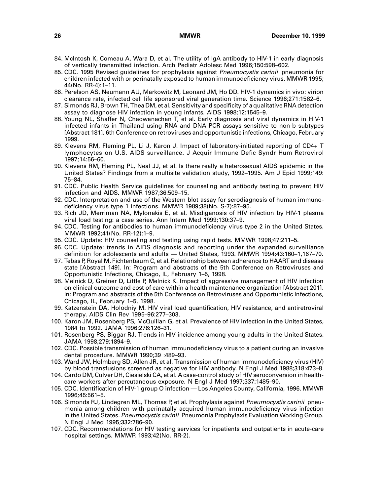- 84. McIntosh K, Comeau A, Wara D, et al. The utility of IgA antibody to HIV-1 in early diagnosis of vertically transmitted infection. Arch Pediatr Adolesc Med 1996;150:598–602.
- 85. CDC. 1995 Revised guidelines for prophylaxis against Pneumocystis carinii pneumonia for children infected with or perinatally exposed to human immunodeficiency virus. MMWR 1995; 44(No. RR-4):1–11.
- 86. Perelson AS, Neumann AU, Markowitz M, Leonard JM, Ho DD. HIV-1 dynamics in vivo: virion clearance rate, infected cell life sponsored viral generation time. Science 1996;271:1582–6.
- 87. Simonds RJ, Brown TH, Thea DM, et al. Sensitivity and specificity of a qualitative RNA detection assay to diagnose HIV infection in young infants. AIDS 1998;12:1545–9.
- 88. Young NL, Shaffer N, Chaowanachan T, et al. Early diagnosis and viral dynamics in HIV-1 infected infants in Thailand using RNA and DNA PCR assays sensitive to non-b subtypes [Abstract 181]. 6th Conference on retroviruses and opportunistic infections, Chicago, February 1999.
- 89. Klevens RM, Fleming PL, Li J, Karon J. Impact of laboratory-initiated reporting of CD4+ T lymphocytes on U.S. AIDS surveillance. J Acquir Immune Defic Syndr Hum Retrovirol 1997;14:56–60.
- 90. Klevens RM, Fleming PL, Neal JJ, et al. Is there really a heterosexual AIDS epidemic in the United States? Findings from a multisite validation study, 1992–1995. Am J Epid 1999;149: 75–84.
- 91. CDC. Public Health Service guidelines for counseling and antibody testing to prevent HIV infection and AIDS. MMWR 1987;36:509–15.
- 92. CDC. Interpretation and use of the Western blot assay for serodiagnosis of human immunodeficiency virus type 1 infections. MMWR 1989;38(No. S-7):87–95.
- 93. Rich JD, Merriman NA, Mylonakis E, et al. Misdiganosis of HIV infection by HIV-1 plasma viral load testing: a case series. Ann Intern Med 1999;130:37–9.
- 94. CDC. Testing for antibodies to human immunodeficiency virus type 2 in the United States. MMWR 1992;41(No. RR-12):1–9.
- 95. CDC. Update: HIV counseling and testing using rapid tests. MMWR 1998;47:211–5.
- 96. CDC. Update: trends in AIDS diagnosis and reporting under the expanded surveillance definition for adolescents and adults — United States, 1993. MMWR 1994;43:160–1,167–70.
- 97. Tebas P, Royal M, Fichtenbaum C, et al. Relationship between adherence to HAART and disease state [Abstract 149]. In: Program and abstracts of the 5th Conference on Retroviruses and Opportunistic Infections, Chicago, IL, February 1–5, 1998.
- 98. Melnick D, Greiner D, Little P, Melnick K. Impact of aggressive management of HIV infection on clinical outcome and cost of care within a health maintenance organization [Abstract 201]. In: Program and abstracts of the 5th Conference on Retroviruses and Opportunistic Infections, Chicago, IL, February 1–5, 1998.
- 99. Katzenstein DA, Holodniy M. HIV viral load quantification, HIV resistance, and antiretroviral therapy. AIDS Clin Rev 1995–96:277–303.
- 100. Karon JM, Rosenberg PS, McQuillan G, et al. Prevalence of HIV infection in the United States, 1984 to 1992. JAMA 1996:276:126–31.
- 101. Rosenberg PS, Biggar RJ. Trends in HIV incidence among young adults in the United States. JAMA 1998;279:1894–9.
- 102. CDC. Possible transmission of human immunodeficiency virus to a patient during an invasive dental procedure. MMWR 1990;39 :489–93.
- 103. Ward JW, Holmberg SD, Allen JR, et al. Transmission of human immunodeficiency virus (HIV) by blood transfusions screened as negative for HIV antibody. N Engl J Med 1988;318:473–8.
- 104. Cardo DM, Culver DH, Ciesielski CA, et al. A case-control study of HIV seroconversion in healthcare workers after percutaneous exposure. N Engl J Med 1997;337:1485–90.
- 105. CDC. Identification of HIV-1 group O infection Los Angeles County, California, 1996. MMWR 1996;45:561–5.
- 106. Simonds RJ, Lindegren ML, Thomas P, et al. Prophylaxis against Pneumocystis carinii pneumonia among children with perinatally acquired human immunodeficiency virus infection in the United States. Pneumocystis carinii Pneumonia Prophylaxis Evaluation Working Group. N Engl J Med 1995;332:786–90.
- 107. CDC. Recommendations for HIV testing services for inpatients and outpatients in acute-care hospital settings. MMWR 1993;42(No. RR-2).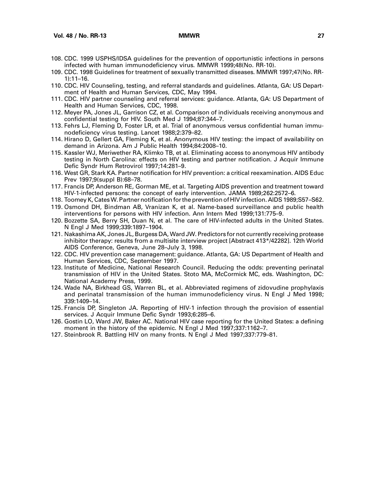- 108. CDC. 1999 USPHS/IDSA guidelines for the prevention of opportunistic infections in persons infected with human immunodeficiency virus. MMWR 1999;48(No. RR-10).
- 109. CDC. 1998 Guidelines for treatment of sexually transmitted diseases. MMWR 1997;47(No. RR-1):11–16.
- 110. CDC. HIV Counseling, testing, and referral standards and guidelines. Atlanta, GA: US Department of Health and Human Services, CDC, May 1994.
- 111. CDC. HIV partner counseling and referral services: guidance. Atlanta, GA: US Department of Health and Human Services, CDC, 1998.
- 112. Meyer PA, Jones JL, Garrison CZ, et al. Comparison of individuals receiving anonymous and confidential testing for HIV. South Med J 1994;87:344–7.
- 113. Fehrs LJ, Fleming D, Foster LR, et al. Trial of anonymous versus confidential human immunodeficiency virus testing. Lancet 1988;2:379–82.
- 114. Hirano D, Gellert GA, Fleming K, et al. Anonymous HIV testing: the impact of availability on demand in Arizona. Am J Public Health 1994;84:2008–10.
- 115. Kassler WJ, Meriwether RA, Klimko TB, et al. Eliminating access to anonymous HIV antibody testing in North Carolina: effects on HIV testing and partner notification. J Acquir Immune Defic Syndr Hum Retrovirol 1997;14:281–9.
- 116. West GR, Stark KA. Partner notification for HIV prevention: a critical reexamination. AIDS Educ Prev 1997;9(suppl B):68–78.
- 117. Francis DP, Anderson RE, Gorman ME, et al. Targeting AIDS prevention and treatment toward HIV-1-infected persons: the concept of early intervention. JAMA 1989;262:2572–6.
- 118. Toomey K, Cates W. Partner notification for the prevention of HIV infection. AIDS 1989;S57–S62.
- 119. Osmond DH, Bindman AB, Vranizan K, et al. Name-based surveillance and public health interventions for persons with HIV infection. Ann Intern Med 1999;131:775–9.
- 120. Bozzette SA, Berry SH, Duan N, et al. The care of HIV-infected adults in the United States. N Engl J Med 1999;339:1897–1904.
- 121. Nakashima AK, Jones JL, Burgess DA, Ward JW. Predictors for not currently receiving protease inhibitor therapy: results from a multisite interview project [Abstract 413\*/42282]. 12th World AIDS Conference, Geneva, June 28–July 3, 1998.
- 122. CDC. HIV prevention case management: guidance. Atlanta, GA: US Department of Health and Human Services, CDC, September 1997.
- 123. Institute of Medicine, National Research Council. Reducing the odds: preventing perinatal transmission of HIV in the United States. Stoto MA, McCormick MC, eds. Washington, DC: National Academy Press, 1999.
- 124. Wade NA, Birkhead GS, Warren BL, et al. Abbreviated regimens of zidovudine prophylaxis and perinatal transmission of the human immunodeficiency virus. N Engl J Med 1998; 339:1409–14.
- 125. Francis DP, Singleton JA. Reporting of HIV-1 infection through the provision of essential services. J Acquir Immune Defic Syndr 1993;6:285–6.
- 126. Gostin LO, Ward JW, Baker AC. National HIV case reporting for the United States: a defining moment in the history of the epidemic. N Engl J Med 1997;337:1162–7.
- 127. Steinbrook R. Battling HIV on many fronts. N Engl J Med 1997;337:779–81.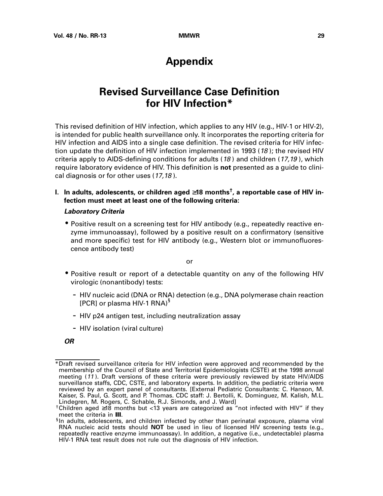# **Appendix**

# **Revised Surveillance Case Definition for HIV Infection\***

<span id="page-32-0"></span>This revised definition of HIV infection, which applies to any HIV (e.g., HIV-1 or HIV-2), is intended for public health surveillance only. It incorporates the reporting criteria for HIV infection and AIDS into a single case definition. The revised criteria for HIV infection update the definition of HIV infection implemented in 1993 (18); the revised HIV criteria apply to AIDS-defining conditions for adults  $(18)$  and children  $(17,19)$ , which require laboratory evidence of HIV. This definition is **not** presented as a guide to clinical diagnosis or for other uses (17,18).

## **I. In adults, adolescents, or children aged** ≥**18 months†, a reportable case of HIV infection must meet at least one of the following criteria:**

### **Laboratory Criteria**

• Positive result on a screening test for HIV antibody (e.g., repeatedly reactive enzyme immunoassay), followed by a positive result on a confirmatory (sensitive and more specific) test for HIV antibody (e.g., Western blot or immunofluorescence antibody test)

or

- Positive result or report of a detectable quantity on any of the following HIV virologic (nonantibody) tests:
	- HIV nucleic acid (DNA or RNA) detection (e.g., DNA polymerase chain reaction [PCR] or plasma HIV-1 RNA)<sup>§</sup>
	- HIV p24 antigen test, including neutralization assay
	- HIV isolation (viral culture)

**OR**

<sup>\*</sup>Draft revised surveillance criteria for HIV infection were approved and recommended by the membership of the Council of State and Territorial Epidemiologists (CSTE) at the 1998 annual meeting (11 ). Draft versions of these criteria were previously reviewed by state HIV/AIDS surveillance staffs, CDC, CSTE, and laboratory experts. In addition, the pediatric criteria were reviewed by an expert panel of consultants. [External Pediatric Consultants: C. Hanson, M. Kaiser, S. Paul, G. Scott, and P. Thomas. CDC staff: J. Bertolli, K. Dominguez, M. Kalish, M.L. Lindegren, M. Rogers, C. Schable, R.J. Simonds, and J. Ward]

<sup>†</sup>Children aged ≥18 months but <13 years are categorized as "not infected with HIV" if they meet the criteria in **III**.<br><sup>§</sup>In adults, adolescents, and children infected by other than perinatal exposure, plasma viral

RNA nucleic acid tests should **NOT** be used in lieu of licensed HIV screening tests (e.g., repeatedly reactive enzyme immunoassay). In addition, a negative (i.e., undetectable) plasma HIV-1 RNA test result does not rule out the diagnosis of HIV infection.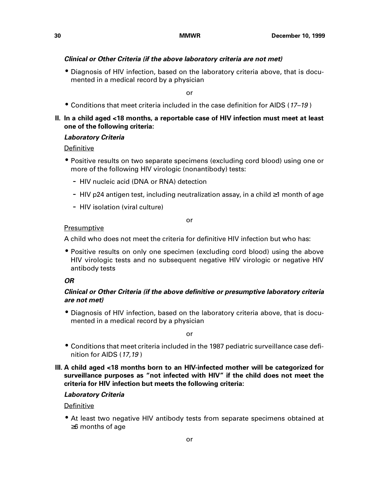### **Clinical or Other Criteria (if the above laboratory criteria are not met)**

• Diagnosis of HIV infection, based on the laboratory criteria above, that is documented in a medical record by a physician

or

• Conditions that meet criteria included in the case definition for AIDS (17–19 )

### **II. In a child aged <18 months, a reportable case of HIV infection must meet at least one of the following criteria:**

### **Laboratory Criteria**

Definitive

- Positive results on two separate specimens (excluding cord blood) using one or more of the following HIV virologic (nonantibody) tests:
	- HIV nucleic acid (DNA or RNA) detection
	- HIV p24 antigen test, including neutralization assay, in a child ≥1 month of age
	- HIV isolation (viral culture)

or

### **Presumptive**

A child who does not meet the criteria for definitive HIV infection but who has:

• Positive results on only one specimen (excluding cord blood) using the above HIV virologic tests and no subsequent negative HIV virologic or negative HIV antibody tests

### **OR**

### **Clinical or Other Criteria (if the above definitive or presumptive laboratory criteria are not met)**

• Diagnosis of HIV infection, based on the laboratory criteria above, that is documented in a medical record by a physician

or

- Conditions that meet criteria included in the 1987 pediatric surveillance case definition for AIDS (17,19 )
- **III. A child aged <18 months born to an HIV-infected mother will be categorized for surveillance purposes as "not infected with HIV" if the child does not meet the criteria for HIV infection but meets the following criteria:**

### **Laboratory Criteria**

### Definitive

• At least two negative HIV antibody tests from separate specimens obtained at ≥6 months of age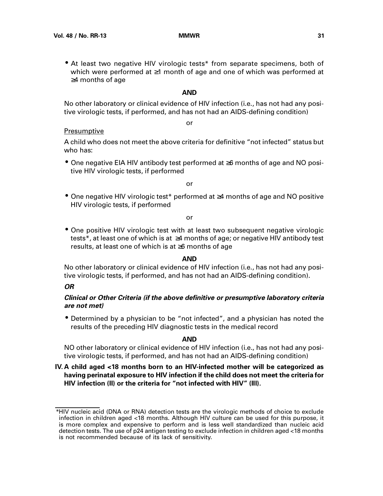• At least two negative HIV virologic tests\* from separate specimens, both of which were performed at ≥1 month of age and one of which was performed at ≥4 months of age

### **AND**

or

No other laboratory or clinical evidence of HIV infection (i.e., has not had any positive virologic tests, if performed, and has not had an AIDS-defining condition)

### **Presumptive**

A child who does not meet the above criteria for definitive "not infected" status but who has:

• One negative EIA HIV antibody test performed at ≥6 months of age and NO positive HIV virologic tests, if performed

or

• One negative HIV virologic test\* performed at ≥4 months of age and NO positive HIV virologic tests, if performed

### or

• One positive HIV virologic test with at least two subsequent negative virologic tests\*, at least one of which is at ≥4 months of age; or negative HIV antibody test results, at least one of which is at ≥6 months of age

### **AND**

No other laboratory or clinical evidence of HIV infection (i.e., has not had any positive virologic tests, if performed, and has not had an AIDS-defining condition).

### **OR**

## **Clinical or Other Criteria (if the above definitive or presumptive laboratory criteria are not met)**

• Determined by a physician to be "not infected", and a physician has noted the results of the preceding HIV diagnostic tests in the medical record

### **AND**

NO other laboratory or clinical evidence of HIV infection (i.e., has not had any positive virologic tests, if performed, and has not had an AIDS-defining condition)

## **IV. A child aged <18 months born to an HIV-infected mother will be categorized as having perinatal exposure to HIV infection if the child does not meet the criteria for HIV infection (II) or the criteria for "not infected with HIV" (III).**

<sup>\*</sup>HIV nucleic acid (DNA or RNA) detection tests are the virologic methods of choice to exclude infection in children aged <18 months. Although HIV culture can be used for this purpose, it is more complex and expensive to perform and is less well standardized than nucleic acid detection tests. The use of p24 antigen testing to exclude infection in children aged <18 months is not recommended because of its lack of sensitivity.